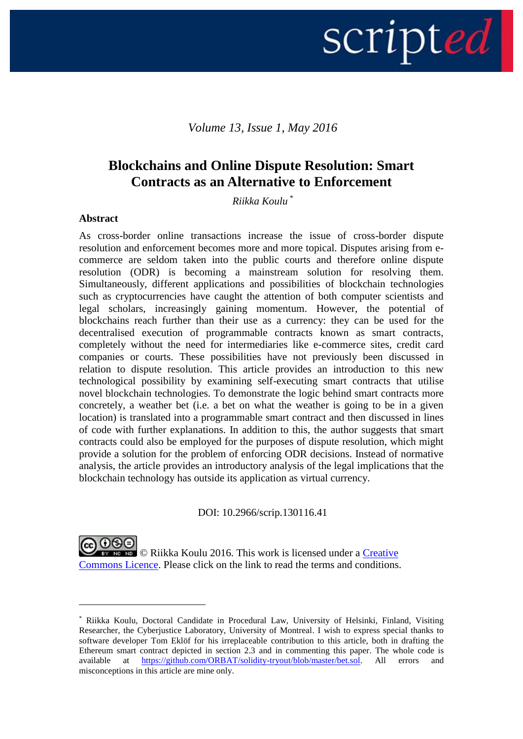# scripted |

# *Volume 13, Issue 1, May 2016*

# **Blockchains and Online Dispute Resolution: Smart Contracts as an Alternative to Enforcement**

*Riikka Koulu \**

#### **Abstract**

1

As cross-border online transactions increase the issue of cross-border dispute resolution and enforcement becomes more and more topical. Disputes arising from ecommerce are seldom taken into the public courts and therefore online dispute resolution (ODR) is becoming a mainstream solution for resolving them. Simultaneously, different applications and possibilities of blockchain technologies such as cryptocurrencies have caught the attention of both computer scientists and legal scholars, increasingly gaining momentum. However, the potential of blockchains reach further than their use as a currency: they can be used for the decentralised execution of programmable contracts known as smart contracts, completely without the need for intermediaries like e-commerce sites, credit card companies or courts. These possibilities have not previously been discussed in relation to dispute resolution. This article provides an introduction to this new technological possibility by examining self-executing smart contracts that utilise novel blockchain technologies. To demonstrate the logic behind smart contracts more concretely, a weather bet (i.e. a bet on what the weather is going to be in a given location) is translated into a programmable smart contract and then discussed in lines of code with further explanations. In addition to this, the author suggests that smart contracts could also be employed for the purposes of dispute resolution, which might provide a solution for the problem of enforcing ODR decisions. Instead of normative analysis, the article provides an introductory analysis of the legal implications that the blockchain technology has outside its application as virtual currency.

DOI: 10.2966/scrip.130116.41

@ 0®ම **EX NO NO** C Riikka Koulu 2016. This work is licensed under a Creative [Commons Licence.](http://creativecommons.org/licenses/by-nc-nd/2.5/scotland/) Please click on the link to read the terms and conditions.

<sup>\*</sup> Riikka Koulu, Doctoral Candidate in Procedural Law, University of Helsinki, Finland, Visiting Researcher, the Cyberjustice Laboratory, University of Montreal. I wish to express special thanks to software developer Tom Eklöf for his irreplaceable contribution to this article, both in drafting the Ethereum smart contract depicted in section 2.3 and in commenting this paper. The whole code is available at [https://github.com/ORBAT/solidity-tryout/blob/master/bet.sol.](https://github.com/ORBAT/solidity-tryout/blob/master/bet.sol) All errors and misconceptions in this article are mine only.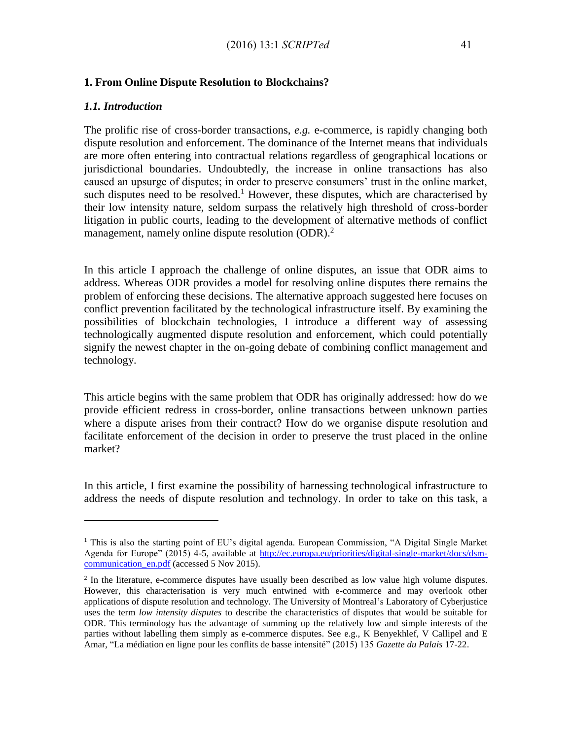#### **1. From Online Dispute Resolution to Blockchains?**

#### *1.1. Introduction*

 $\overline{a}$ 

The prolific rise of cross-border transactions, *e.g.* e-commerce, is rapidly changing both dispute resolution and enforcement. The dominance of the Internet means that individuals are more often entering into contractual relations regardless of geographical locations or jurisdictional boundaries. Undoubtedly, the increase in online transactions has also caused an upsurge of disputes; in order to preserve consumers' trust in the online market, such disputes need to be resolved.<sup>1</sup> However, these disputes, which are characterised by their low intensity nature, seldom surpass the relatively high threshold of cross-border litigation in public courts, leading to the development of alternative methods of conflict management, namely online dispute resolution (ODR).<sup>2</sup>

In this article I approach the challenge of online disputes, an issue that ODR aims to address. Whereas ODR provides a model for resolving online disputes there remains the problem of enforcing these decisions. The alternative approach suggested here focuses on conflict prevention facilitated by the technological infrastructure itself. By examining the possibilities of blockchain technologies, I introduce a different way of assessing technologically augmented dispute resolution and enforcement, which could potentially signify the newest chapter in the on-going debate of combining conflict management and technology.

This article begins with the same problem that ODR has originally addressed: how do we provide efficient redress in cross-border, online transactions between unknown parties where a dispute arises from their contract? How do we organise dispute resolution and facilitate enforcement of the decision in order to preserve the trust placed in the online market?

In this article, I first examine the possibility of harnessing technological infrastructure to address the needs of dispute resolution and technology. In order to take on this task, a

<sup>&</sup>lt;sup>1</sup> This is also the starting point of EU's digital agenda. European Commission, "A Digital Single Market Agenda for Europe" (2015) 4-5, available at [http://ec.europa.eu/priorities/digital-single-market/docs/dsm](http://ec.europa.eu/priorities/digital-single-market/docs/dsm-communication_en.pdf)communication en.pdf (accessed 5 Nov 2015).

<sup>&</sup>lt;sup>2</sup> In the literature, e-commerce disputes have usually been described as low value high volume disputes. However, this characterisation is very much entwined with e-commerce and may overlook other applications of dispute resolution and technology. The University of Montreal's Laboratory of Cyberjustice uses the term *low intensity disputes* to describe the characteristics of disputes that would be suitable for ODR. This terminology has the advantage of summing up the relatively low and simple interests of the parties without labelling them simply as e-commerce disputes. See e.g., K Benyekhlef, V Callipel and E Amar, "La médiation en ligne pour les conflits de basse intensité" (2015) 135 *Gazette du Palais* 17-22.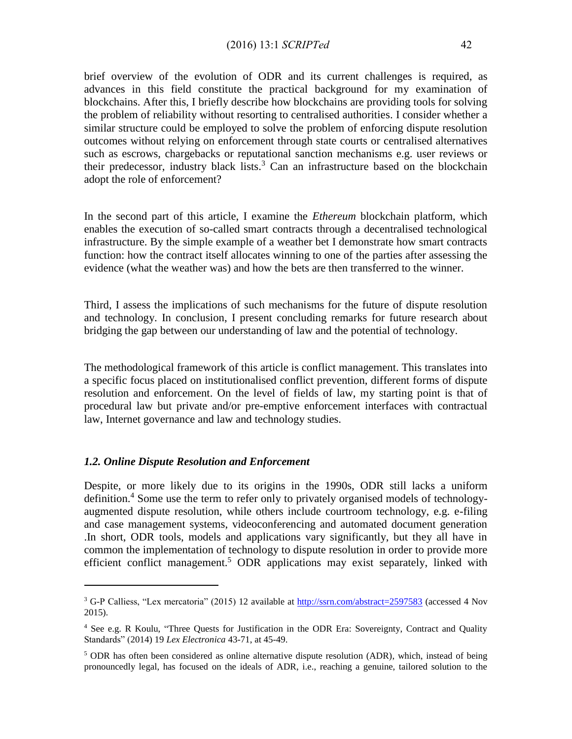#### (2016) 13:1 *SCRIPTed* 42

brief overview of the evolution of ODR and its current challenges is required, as advances in this field constitute the practical background for my examination of blockchains. After this, I briefly describe how blockchains are providing tools for solving the problem of reliability without resorting to centralised authorities. I consider whether a similar structure could be employed to solve the problem of enforcing dispute resolution outcomes without relying on enforcement through state courts or centralised alternatives such as escrows, chargebacks or reputational sanction mechanisms e.g. user reviews or their predecessor, industry black lists.<sup>3</sup> Can an infrastructure based on the blockchain adopt the role of enforcement?

In the second part of this article, I examine the *Ethereum* blockchain platform, which enables the execution of so-called smart contracts through a decentralised technological infrastructure. By the simple example of a weather bet I demonstrate how smart contracts function: how the contract itself allocates winning to one of the parties after assessing the evidence (what the weather was) and how the bets are then transferred to the winner.

Third, I assess the implications of such mechanisms for the future of dispute resolution and technology. In conclusion, I present concluding remarks for future research about bridging the gap between our understanding of law and the potential of technology.

The methodological framework of this article is conflict management. This translates into a specific focus placed on institutionalised conflict prevention, different forms of dispute resolution and enforcement. On the level of fields of law, my starting point is that of procedural law but private and/or pre-emptive enforcement interfaces with contractual law, Internet governance and law and technology studies.

#### *1.2. Online Dispute Resolution and Enforcement*

 $\overline{a}$ 

Despite, or more likely due to its origins in the 1990s, ODR still lacks a uniform definition.<sup>4</sup> Some use the term to refer only to privately organised models of technologyaugmented dispute resolution, while others include courtroom technology, e.g. e-filing and case management systems, videoconferencing and automated document generation .In short, ODR tools, models and applications vary significantly, but they all have in common the implementation of technology to dispute resolution in order to provide more efficient conflict management.<sup>5</sup> ODR applications may exist separately, linked with

<sup>3</sup> G-P Calliess, "Lex mercatoria" (2015) 12 available at<http://ssrn.com/abstract=2597583> (accessed 4 Nov 2015).

<sup>4</sup> See e.g. R Koulu, "Three Quests for Justification in the ODR Era: Sovereignty, Contract and Quality Standardsˮ (2014) 19 *Lex Electronica* 43-71, at 45-49.

 $5$  ODR has often been considered as online alternative dispute resolution (ADR), which, instead of being pronouncedly legal, has focused on the ideals of ADR, i.e., reaching a genuine, tailored solution to the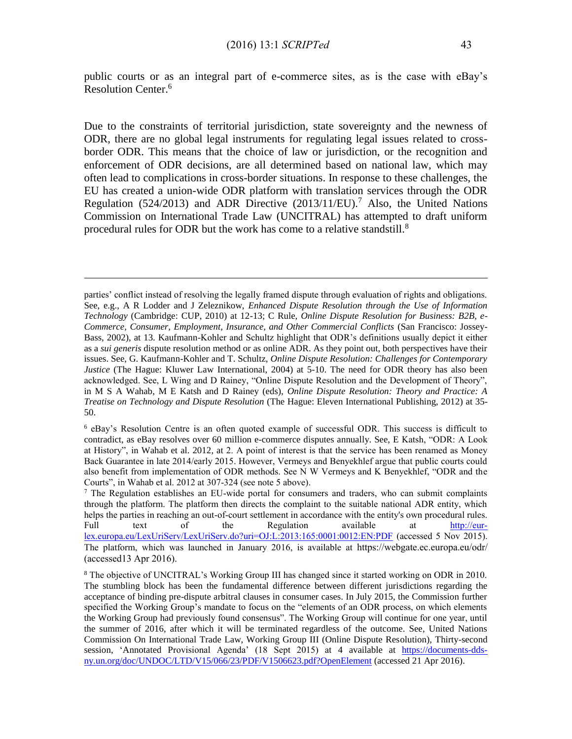public courts or as an integral part of e-commerce sites, as is the case with eBay's Resolution Center. 6

Due to the constraints of territorial jurisdiction, state sovereignty and the newness of ODR, there are no global legal instruments for regulating legal issues related to crossborder ODR. This means that the choice of law or jurisdiction, or the recognition and enforcement of ODR decisions, are all determined based on national law, which may often lead to complications in cross-border situations. In response to these challenges, the EU has created a union-wide ODR platform with translation services through the ODR Regulation (524/2013) and ADR Directive (2013/11/EU).<sup>7</sup> Also, the United Nations Commission on International Trade Law (UNCITRAL) has attempted to draft uniform procedural rules for ODR but the work has come to a relative standstill.<sup>8</sup>

 $\overline{a}$ 

<sup>6</sup> eBay's Resolution Centre is an often quoted example of successful ODR. This success is difficult to contradict, as eBay resolves over 60 million e-commerce disputes annually. See, E Katsh, "ODR: A Look at History", in Wahab et al. 2012, at 2. A point of interest is that the service has been renamed as Money Back Guarantee in late 2014/early 2015. However, Vermeys and Benyekhlef argue that public courts could also benefit from implementation of ODR methods. See N W Vermeys and K Benyekhlef, "ODR and the Courts", in Wahab et al. 2012 at 307-324 (see note 5 above).

 $<sup>7</sup>$  The Regulation establishes an EU-wide portal for consumers and traders, who can submit complaints</sup> through the platform. The platform then directs the complaint to the suitable national ADR entity, which helps the parties in reaching an out-of-court settlement in accordance with the entity's own procedural rules. Full text of the Regulation available at [http://eur](http://eur-lex.europa.eu/LexUriServ/LexUriServ.do?uri=OJ:L:2013:165:0001:0012:EN:PDF)[lex.europa.eu/LexUriServ/LexUriServ.do?uri=OJ:L:2013:165:0001:0012:EN:PDF](http://eur-lex.europa.eu/LexUriServ/LexUriServ.do?uri=OJ:L:2013:165:0001:0012:EN:PDF) (accessed 5 Nov 2015). The platform, which was launched in January 2016, is available at https://webgate.ec.europa.eu/odr/ (accessed13 Apr 2016).

parties' conflict instead of resolving the legally framed dispute through evaluation of rights and obligations. See, e.g., A R Lodder and J Zeleznikow, *Enhanced Dispute Resolution through the Use of Information Technology* (Cambridge: CUP, 2010) at 12-13; C Rule, *Online Dispute Resolution for Business: B2B, e-Commerce, Consumer, Employment, Insurance, and Other Commercial Conflicts* (San Francisco: Jossey-Bass, 2002), at 13. Kaufmann-Kohler and Schultz highlight that ODR's definitions usually depict it either as a *sui generis* dispute resolution method or as online ADR. As they point out, both perspectives have their issues. See, G. Kaufmann-Kohler and T. Schultz, *Online Dispute Resolution: Challenges for Contemporary Justice* (The Hague: Kluwer Law International, 2004) at 5-10. The need for ODR theory has also been acknowledged. See, L Wing and D Rainey, "Online Dispute Resolution and the Development of Theory", in M S A Wahab, M E Katsh and D Rainey (eds), *Online Dispute Resolution: Theory and Practice: A Treatise on Technology and Dispute Resolution* (The Hague: Eleven International Publishing, 2012) at 35- 50.

<sup>8</sup> The objective of UNCITRAL's Working Group III has changed since it started working on ODR in 2010. The stumbling block has been the fundamental difference between different jurisdictions regarding the acceptance of binding pre-dispute arbitral clauses in consumer cases. In July 2015, the Commission further specified the Working Group's mandate to focus on the "elements of an ODR process, on which elements the Working Group had previously found consensus". The Working Group will continue for one year, until the summer of 2016, after which it will be terminated regardless of the outcome. See, United Nations Commission On International Trade Law, Working Group III (Online Dispute Resolution), Thirty-second session, 'Annotated Provisional Agenda' (18 Sept 2015) at 4 available at [https://documents-dds](https://documents-dds-ny.un.org/doc/UNDOC/LTD/V15/066/23/PDF/V1506623.pdf?OpenElement)[ny.un.org/doc/UNDOC/LTD/V15/066/23/PDF/V1506623.pdf?OpenElement](https://documents-dds-ny.un.org/doc/UNDOC/LTD/V15/066/23/PDF/V1506623.pdf?OpenElement) (accessed 21 Apr 2016).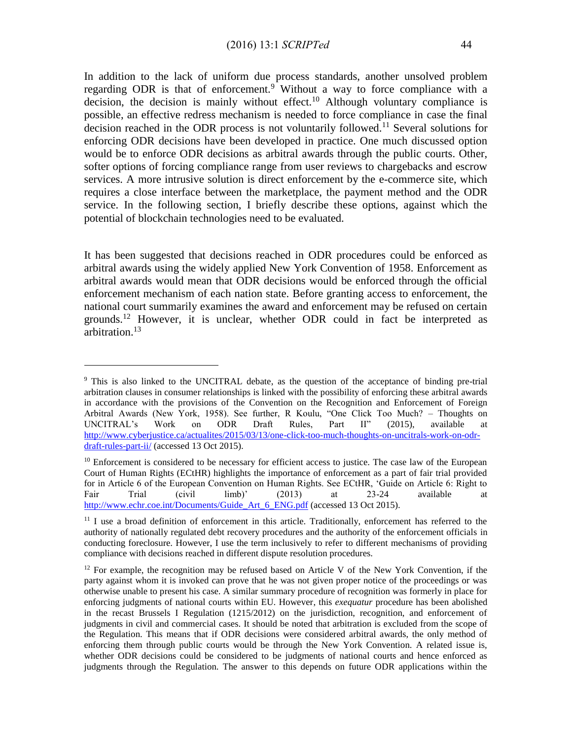In addition to the lack of uniform due process standards, another unsolved problem regarding ODR is that of enforcement.<sup>9</sup> Without a way to force compliance with a decision, the decision is mainly without effect.<sup>10</sup> Although voluntary compliance is possible, an effective redress mechanism is needed to force compliance in case the final decision reached in the ODR process is not voluntarily followed.<sup>11</sup> Several solutions for enforcing ODR decisions have been developed in practice. One much discussed option would be to enforce ODR decisions as arbitral awards through the public courts. Other, softer options of forcing compliance range from user reviews to chargebacks and escrow services. A more intrusive solution is direct enforcement by the e-commerce site, which requires a close interface between the marketplace, the payment method and the ODR service. In the following section, I briefly describe these options, against which the potential of blockchain technologies need to be evaluated.

It has been suggested that decisions reached in ODR procedures could be enforced as arbitral awards using the widely applied New York Convention of 1958. Enforcement as arbitral awards would mean that ODR decisions would be enforced through the official enforcement mechanism of each nation state. Before granting access to enforcement, the national court summarily examines the award and enforcement may be refused on certain grounds.<sup>12</sup> However, it is unclear, whether ODR could in fact be interpreted as arbitration.<sup>13</sup>

<sup>&</sup>lt;sup>9</sup> This is also linked to the UNCITRAL debate, as the question of the acceptance of binding pre-trial arbitration clauses in consumer relationships is linked with the possibility of enforcing these arbitral awards in accordance with the provisions of the Convention on the Recognition and Enforcement of Foreign Arbitral Awards (New York, 1958). See further, R Koulu, "One Click Too Much? – Thoughts on UNCITRAL's Work on ODR Draft Rules, Part II" (2015), available at [http://www.cyberjustice.ca/actualites/2015/03/13/one-click-too-much-thoughts-on-uncitrals-work-on-odr](http://www.cyberjustice.ca/actualites/2015/03/13/one-click-too-much-thoughts-on-uncitrals-work-on-odr-draft-rules-part-ii/)[draft-rules-part-ii/](http://www.cyberjustice.ca/actualites/2015/03/13/one-click-too-much-thoughts-on-uncitrals-work-on-odr-draft-rules-part-ii/) (accessed 13 Oct 2015).

<sup>&</sup>lt;sup>10</sup> Enforcement is considered to be necessary for efficient access to justice. The case law of the European Court of Human Rights (ECtHR) highlights the importance of enforcement as a part of fair trial provided for in Article 6 of the European Convention on Human Rights. See ECtHR, 'Guide on Article 6: Right to Fair Trial (civil limb)' (2013) at 23-24 available at http://www.echr.coe.int/Documents/Guide Art 6 ENG.pdf (accessed 13 Oct 2015).

 $11$  I use a broad definition of enforcement in this article. Traditionally, enforcement has referred to the authority of nationally regulated debt recovery procedures and the authority of the enforcement officials in conducting foreclosure. However, I use the term inclusively to refer to different mechanisms of providing compliance with decisions reached in different dispute resolution procedures.

 $12$  For example, the recognition may be refused based on Article V of the New York Convention, if the party against whom it is invoked can prove that he was not given proper notice of the proceedings or was otherwise unable to present his case. A similar summary procedure of recognition was formerly in place for enforcing judgments of national courts within EU. However, this *exequatur* procedure has been abolished in the recast Brussels I Regulation (1215/2012) on the jurisdiction, recognition, and enforcement of judgments in civil and commercial cases. It should be noted that arbitration is excluded from the scope of the Regulation. This means that if ODR decisions were considered arbitral awards, the only method of enforcing them through public courts would be through the New York Convention. A related issue is, whether ODR decisions could be considered to be judgments of national courts and hence enforced as judgments through the Regulation. The answer to this depends on future ODR applications within the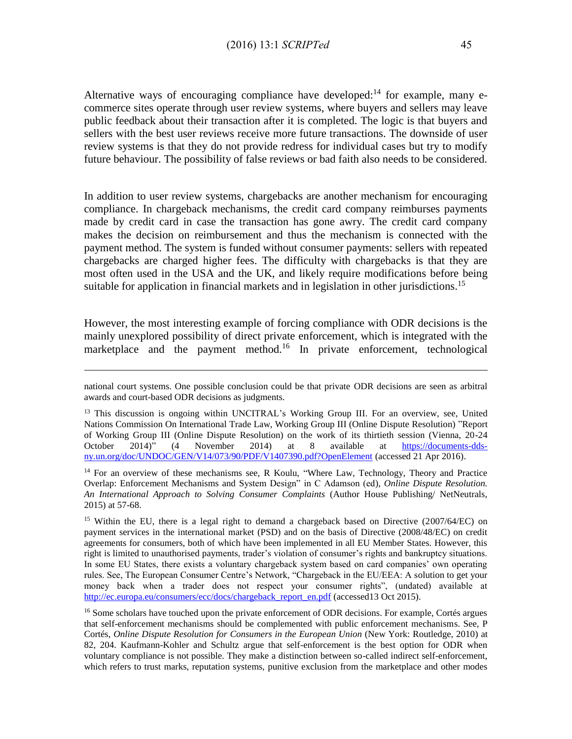Alternative ways of encouraging compliance have developed:<sup>14</sup> for example, many ecommerce sites operate through user review systems, where buyers and sellers may leave public feedback about their transaction after it is completed. The logic is that buyers and sellers with the best user reviews receive more future transactions. The downside of user review systems is that they do not provide redress for individual cases but try to modify future behaviour. The possibility of false reviews or bad faith also needs to be considered.

In addition to user review systems, chargebacks are another mechanism for encouraging compliance. In chargeback mechanisms, the credit card company reimburses payments made by credit card in case the transaction has gone awry. The credit card company makes the decision on reimbursement and thus the mechanism is connected with the payment method. The system is funded without consumer payments: sellers with repeated chargebacks are charged higher fees. The difficulty with chargebacks is that they are most often used in the USA and the UK, and likely require modifications before being suitable for application in financial markets and in legislation in other jurisdictions.<sup>15</sup>

However, the most interesting example of forcing compliance with ODR decisions is the mainly unexplored possibility of direct private enforcement, which is integrated with the marketplace and the payment method.<sup>16</sup> In private enforcement, technological

national court systems. One possible conclusion could be that private ODR decisions are seen as arbitral awards and court-based ODR decisions as judgments.

<sup>&</sup>lt;sup>13</sup> This discussion is ongoing within UNCITRAL's Working Group III. For an overview, see, United Nations Commission On International Trade Law, Working Group III (Online Dispute Resolution) "Report of Working Group III (Online Dispute Resolution) on the work of its thirtieth session (Vienna, 20-24 October 2014)" (4 November 2014) at 8 available at [https://documents-dds](https://documents-dds-ny.un.org/doc/UNDOC/GEN/V14/073/90/PDF/V1407390.pdf?OpenElement)[ny.un.org/doc/UNDOC/GEN/V14/073/90/PDF/V1407390.pdf?OpenElement](https://documents-dds-ny.un.org/doc/UNDOC/GEN/V14/073/90/PDF/V1407390.pdf?OpenElement) (accessed 21 Apr 2016).

<sup>&</sup>lt;sup>14</sup> For an overview of these mechanisms see, R Koulu, "Where Law, Technology, Theory and Practice Overlap: Enforcement Mechanisms and System Design" in C Adamson (ed), *Online Dispute Resolution*. *An International Approach to Solving Consumer Complaints* (Author House Publishing/ NetNeutrals, 2015) at 57-68.

<sup>&</sup>lt;sup>15</sup> Within the EU, there is a legal right to demand a chargeback based on Directive (2007/64/EC) on payment services in the international market (PSD) and on the basis of Directive (2008/48/EC) on credit agreements for consumers, both of which have been implemented in all EU Member States. However, this right is limited to unauthorised payments, trader's violation of consumer's rights and bankruptcy situations. In some EU States, there exists a voluntary chargeback system based on card companies' own operating rules. See, The European Consumer Centre's Network, "Chargeback in the EU/EEA: A solution to get your money back when a trader does not respect your consumer rights", (undated) available at [http://ec.europa.eu/consumers/ecc/docs/chargeback\\_report\\_en.pdf](http://ec.europa.eu/consumers/ecc/docs/chargeback_report_en.pdf) (accessed13 Oct 2015).

<sup>&</sup>lt;sup>16</sup> Some scholars have touched upon the private enforcement of ODR decisions. For example, Cortés argues that self-enforcement mechanisms should be complemented with public enforcement mechanisms. See, P Cortés, *Online Dispute Resolution for Consumers in the European Union* (New York: Routledge, 2010) at 82, 204. Kaufmann-Kohler and Schultz argue that self-enforcement is the best option for ODR when voluntary compliance is not possible. They make a distinction between so-called indirect self-enforcement, which refers to trust marks, reputation systems, punitive exclusion from the marketplace and other modes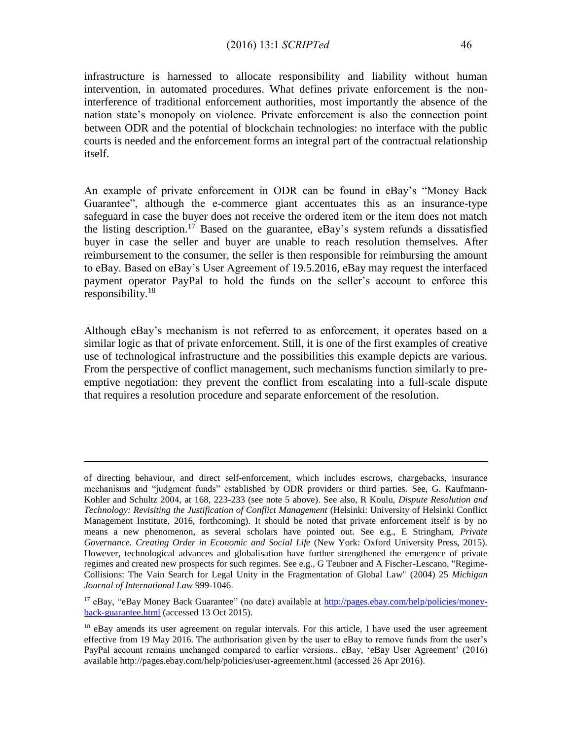#### (2016) 13:1 *SCRIPTed* 46

infrastructure is harnessed to allocate responsibility and liability without human intervention, in automated procedures. What defines private enforcement is the noninterference of traditional enforcement authorities, most importantly the absence of the nation state's monopoly on violence. Private enforcement is also the connection point between ODR and the potential of blockchain technologies: no interface with the public courts is needed and the enforcement forms an integral part of the contractual relationship itself.

An example of private enforcement in ODR can be found in eBay's "Money Back Guarantee", although the e-commerce giant accentuates this as an insurance-type safeguard in case the buyer does not receive the ordered item or the item does not match the listing description.<sup>17</sup> Based on the guarantee,  $e$ Bay's system refunds a dissatisfied buyer in case the seller and buyer are unable to reach resolution themselves. After reimbursement to the consumer, the seller is then responsible for reimbursing the amount to eBay. Based on eBay's User Agreement of 19.5.2016, eBay may request the interfaced payment operator PayPal to hold the funds on the seller's account to enforce this responsibility.<sup>18</sup>

Although eBay's mechanism is not referred to as enforcement, it operates based on a similar logic as that of private enforcement. Still, it is one of the first examples of creative use of technological infrastructure and the possibilities this example depicts are various. From the perspective of conflict management, such mechanisms function similarly to preemptive negotiation: they prevent the conflict from escalating into a full-scale dispute that requires a resolution procedure and separate enforcement of the resolution.

of directing behaviour, and direct self-enforcement, which includes escrows, chargebacks, insurance mechanisms and "judgment funds" established by ODR providers or third parties. See, G. Kaufmann-Kohler and Schultz 2004, at 168, 223-233 (see note 5 above). See also, R Koulu, *Dispute Resolution and Technology: Revisiting the Justification of Conflict Management* (Helsinki: University of Helsinki Conflict Management Institute, 2016, forthcoming). It should be noted that private enforcement itself is by no means a new phenomenon, as several scholars have pointed out. See e.g., E Stringham, *Private Governance. Creating Order in Economic and Social Life* (New York: Oxford University Press, 2015). However, technological advances and globalisation have further strengthened the emergence of private regimes and created new prospects for such regimes. See e.g., G Teubner and A Fischer-Lescano, "Regime-Collisions: The Vain Search for Legal Unity in the Fragmentation of Global Law" (2004) 25 *Michigan Journal of International Law* 999-1046.

<sup>17</sup> eBay, "eBay Money Back Guarantee" (no date) available at [http://pages.ebay.com/help/policies/money](http://pages.ebay.com/help/policies/money-back-guarantee.html)[back-guarantee.html](http://pages.ebay.com/help/policies/money-back-guarantee.html) (accessed 13 Oct 2015).

<sup>&</sup>lt;sup>18</sup> eBay amends its user agreement on regular intervals. For this article, I have used the user agreement effective from 19 May 2016. The authorisation given by the user to eBay to remove funds from the user's PayPal account remains unchanged compared to earlier versions.. eBay, 'eBay User Agreement' (2016) available http://pages.ebay.com/help/policies/user-agreement.html (accessed 26 Apr 2016).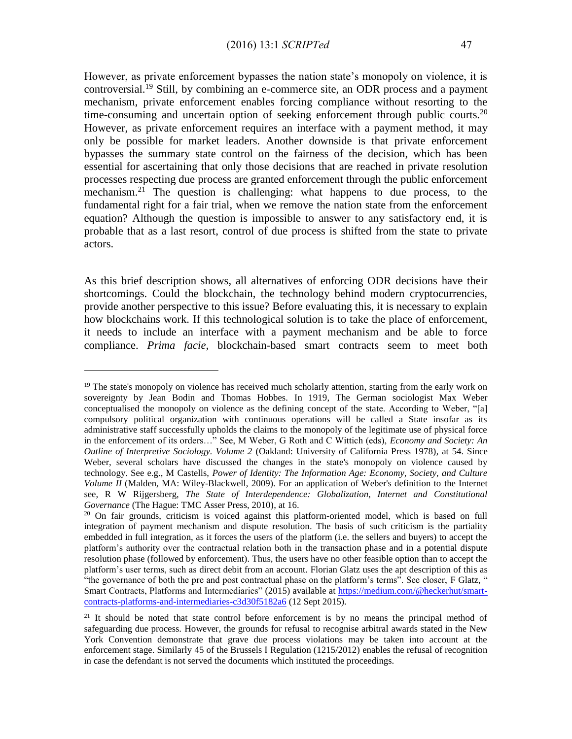However, as private enforcement bypasses the nation state's monopoly on violence, it is controversial.<sup>19</sup> Still, by combining an e-commerce site, an ODR process and a payment mechanism, private enforcement enables forcing compliance without resorting to the time-consuming and uncertain option of seeking enforcement through public courts.<sup>20</sup> However, as private enforcement requires an interface with a payment method, it may only be possible for market leaders. Another downside is that private enforcement bypasses the summary state control on the fairness of the decision, which has been essential for ascertaining that only those decisions that are reached in private resolution processes respecting due process are granted enforcement through the public enforcement mechanism.<sup>21</sup> The question is challenging: what happens to due process, to the fundamental right for a fair trial, when we remove the nation state from the enforcement equation? Although the question is impossible to answer to any satisfactory end, it is probable that as a last resort, control of due process is shifted from the state to private actors.

As this brief description shows, all alternatives of enforcing ODR decisions have their shortcomings. Could the blockchain, the technology behind modern cryptocurrencies, provide another perspective to this issue? Before evaluating this, it is necessary to explain how blockchains work. If this technological solution is to take the place of enforcement, it needs to include an interface with a payment mechanism and be able to force compliance. *Prima facie,* blockchain-based smart contracts seem to meet both

<sup>&</sup>lt;sup>19</sup> The state's monopoly on violence has received much scholarly attention, starting from the early work on sovereignty by Jean Bodin and Thomas Hobbes. In 1919, The German sociologist Max Weber conceptualised the monopoly on violence as the defining concept of the state. According to Weber, "[a] compulsory political organization with continuous operations will be called a State insofar as its administrative staff successfully upholds the claims to the monopoly of the legitimate use of physical force in the enforcement of its orders…" See, M Weber, G Roth and C Wittich (eds), *Economy and Society: An Outline of Interpretive Sociology. Volume 2* (Oakland: University of California Press 1978), at 54. Since Weber, several scholars have discussed the changes in the state's monopoly on violence caused by technology. See e.g., M Castells, *Power of Identity: The Information Age: Economy, Society, and Culture Volume II* (Malden, MA: Wiley-Blackwell, 2009). For an application of Weber's definition to the Internet see, R W Rijgersberg, *The State of Interdependence: Globalization, Internet and Constitutional Governance* (The Hague: TMC Asser Press, 2010), at 16.

 $20$  On fair grounds, criticism is voiced against this platform-oriented model, which is based on full integration of payment mechanism and dispute resolution. The basis of such criticism is the partiality embedded in full integration, as it forces the users of the platform (i.e. the sellers and buyers) to accept the platform's authority over the contractual relation both in the transaction phase and in a potential dispute resolution phase (followed by enforcement). Thus, the users have no other feasible option than to accept the platform's user terms, such as direct debit from an account. Florian Glatz uses the apt description of this as "the governance of both the pre and post contractual phase on the platform's terms". See closer, F Glatz, " Smart Contracts, Platforms and Intermediaries" (2015) available at [https://medium.com/@heckerhut/smart](https://medium.com/@heckerhut/smart-contracts-platforms-and-intermediaries-c3d30f5182a6)[contracts-platforms-and-intermediaries-c3d30f5182a6](https://medium.com/@heckerhut/smart-contracts-platforms-and-intermediaries-c3d30f5182a6) (12 Sept 2015).

<sup>&</sup>lt;sup>21</sup> It should be noted that state control before enforcement is by no means the principal method of safeguarding due process. However, the grounds for refusal to recognise arbitral awards stated in the New York Convention demonstrate that grave due process violations may be taken into account at the enforcement stage. Similarly 45 of the Brussels I Regulation (1215/2012) enables the refusal of recognition in case the defendant is not served the documents which instituted the proceedings.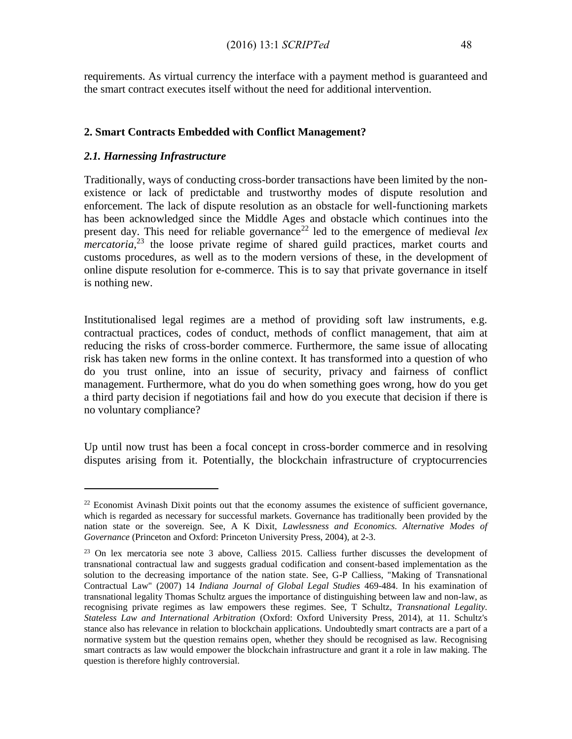requirements. As virtual currency the interface with a payment method is guaranteed and the smart contract executes itself without the need for additional intervention.

#### **2. Smart Contracts Embedded with Conflict Management?**

#### *2.1. Harnessing Infrastructure*

 $\overline{a}$ 

Traditionally, ways of conducting cross-border transactions have been limited by the nonexistence or lack of predictable and trustworthy modes of dispute resolution and enforcement. The lack of dispute resolution as an obstacle for well-functioning markets has been acknowledged since the Middle Ages and obstacle which continues into the present day. This need for reliable governance<sup>22</sup> led to the emergence of medieval *lex mercatoria*, <sup>23</sup> the loose private regime of shared guild practices, market courts and customs procedures, as well as to the modern versions of these, in the development of online dispute resolution for e-commerce. This is to say that private governance in itself is nothing new.

Institutionalised legal regimes are a method of providing soft law instruments, e.g. contractual practices, codes of conduct, methods of conflict management, that aim at reducing the risks of cross-border commerce. Furthermore, the same issue of allocating risk has taken new forms in the online context. It has transformed into a question of who do you trust online, into an issue of security, privacy and fairness of conflict management. Furthermore, what do you do when something goes wrong, how do you get a third party decision if negotiations fail and how do you execute that decision if there is no voluntary compliance?

Up until now trust has been a focal concept in cross-border commerce and in resolving disputes arising from it. Potentially, the blockchain infrastructure of cryptocurrencies

 $^{22}$  Economist Avinash Dixit points out that the economy assumes the existence of sufficient governance, which is regarded as necessary for successful markets. Governance has traditionally been provided by the nation state or the sovereign. See, A K Dixit, *Lawlessness and Economics. Alternative Modes of Governance* (Princeton and Oxford: Princeton University Press, 2004), at 2-3.

<sup>&</sup>lt;sup>23</sup> On lex mercatoria see note 3 above, Calliess 2015. Calliess further discusses the development of transnational contractual law and suggests gradual codification and consent-based implementation as the solution to the decreasing importance of the nation state. See, G-P Calliess, "Making of Transnational Contractual Law" (2007) 14 *Indiana Journal of Global Legal Studies* 469-484. In his examination of transnational legality Thomas Schultz argues the importance of distinguishing between law and non-law, as recognising private regimes as law empowers these regimes. See, T Schultz, *Transnational Legality. Stateless Law and International Arbitration* (Oxford: Oxford University Press, 2014), at 11. Schultz's stance also has relevance in relation to blockchain applications. Undoubtedly smart contracts are a part of a normative system but the question remains open, whether they should be recognised as law. Recognising smart contracts as law would empower the blockchain infrastructure and grant it a role in law making. The question is therefore highly controversial.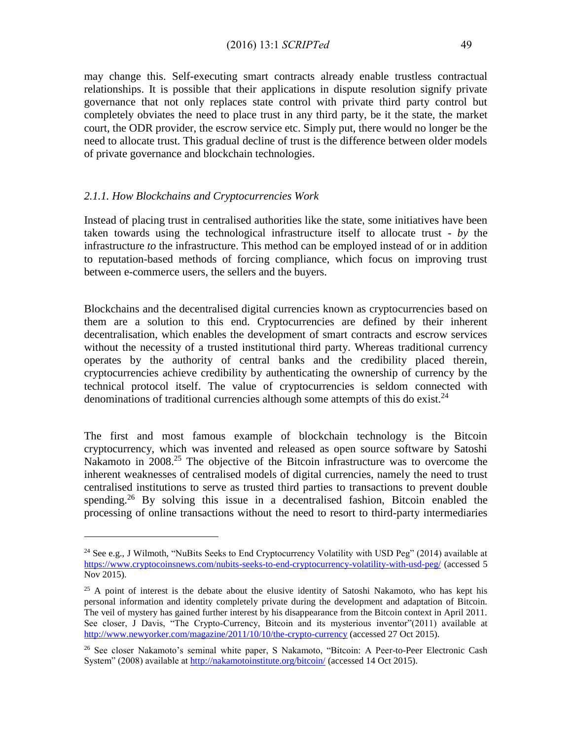may change this. Self-executing smart contracts already enable trustless contractual relationships. It is possible that their applications in dispute resolution signify private governance that not only replaces state control with private third party control but completely obviates the need to place trust in any third party, be it the state, the market court, the ODR provider, the escrow service etc. Simply put, there would no longer be the need to allocate trust. This gradual decline of trust is the difference between older models of private governance and blockchain technologies.

#### *2.1.1. How Blockchains and Cryptocurrencies Work*

 $\overline{a}$ 

Instead of placing trust in centralised authorities like the state, some initiatives have been taken towards using the technological infrastructure itself to allocate trust - *by* the infrastructure *to* the infrastructure. This method can be employed instead of or in addition to reputation-based methods of forcing compliance, which focus on improving trust between e-commerce users, the sellers and the buyers.

Blockchains and the decentralised digital currencies known as cryptocurrencies based on them are a solution to this end. Cryptocurrencies are defined by their inherent decentralisation, which enables the development of smart contracts and escrow services without the necessity of a trusted institutional third party. Whereas traditional currency operates by the authority of central banks and the credibility placed therein, cryptocurrencies achieve credibility by authenticating the ownership of currency by the technical protocol itself. The value of cryptocurrencies is seldom connected with denominations of traditional currencies although some attempts of this do exist.<sup>24</sup>

The first and most famous example of blockchain technology is the Bitcoin cryptocurrency, which was invented and released as open source software by Satoshi Nakamoto in 2008<sup>25</sup>. The objective of the Bitcoin infrastructure was to overcome the inherent weaknesses of centralised models of digital currencies, namely the need to trust centralised institutions to serve as trusted third parties to transactions to prevent double spending.<sup>26</sup> By solving this issue in a decentralised fashion, Bitcoin enabled the processing of online transactions without the need to resort to third-party intermediaries

<sup>&</sup>lt;sup>24</sup> See e.g., J Wilmoth, "NuBits Seeks to End Cryptocurrency Volatility with USD Peg" (2014) available at <https://www.cryptocoinsnews.com/nubits-seeks-to-end-cryptocurrency-volatility-with-usd-peg/> (accessed 5 Nov 2015).

 $25$  A point of interest is the debate about the elusive identity of Satoshi Nakamoto, who has kept his personal information and identity completely private during the development and adaptation of Bitcoin. The veil of mystery has gained further interest by his disappearance from the Bitcoin context in April 2011. See closer, J Davis, "The Crypto-Currency, Bitcoin and its mysterious inventor"(2011) available at <http://www.newyorker.com/magazine/2011/10/10/the-crypto-currency> (accessed 27 Oct 2015).

<sup>&</sup>lt;sup>26</sup> See closer Nakamoto's seminal white paper, S Nakamoto, "Bitcoin: A Peer-to-Peer Electronic Cash System" (2008) available at<http://nakamotoinstitute.org/bitcoin/> (accessed 14 Oct 2015).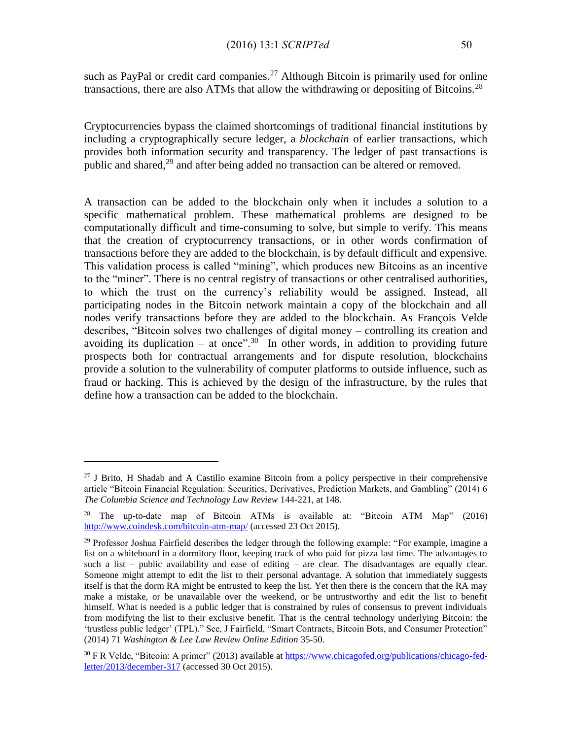such as PayPal or credit card companies.<sup>27</sup> Although Bitcoin is primarily used for online transactions, there are also ATMs that allow the withdrawing or depositing of Bitcoins.<sup>28</sup>

Cryptocurrencies bypass the claimed shortcomings of traditional financial institutions by including a cryptographically secure ledger, a *blockchain* of earlier transactions, which provides both information security and transparency. The ledger of past transactions is public and shared, $^{29}$  and after being added no transaction can be altered or removed.

A transaction can be added to the blockchain only when it includes a solution to a specific mathematical problem. These mathematical problems are designed to be computationally difficult and time-consuming to solve, but simple to verify. This means that the creation of cryptocurrency transactions, or in other words confirmation of transactions before they are added to the blockchain, is by default difficult and expensive. This validation process is called "mining", which produces new Bitcoins as an incentive to the "miner". There is no central registry of transactions or other centralised authorities, to which the trust on the currency's reliability would be assigned. Instead, all participating nodes in the Bitcoin network maintain a copy of the blockchain and all nodes verify transactions before they are added to the blockchain. As François Velde describes, "Bitcoin solves two challenges of digital money – controlling its creation and avoiding its duplication – at once".<sup>30</sup> In other words, in addition to providing future prospects both for contractual arrangements and for dispute resolution, blockchains provide a solution to the vulnerability of computer platforms to outside influence, such as fraud or hacking. This is achieved by the design of the infrastructure, by the rules that define how a transaction can be added to the blockchain.

 $27$  J Brito, H Shadab and A Castillo examine Bitcoin from a policy perspective in their comprehensive article "Bitcoin Financial Regulation: Securities, Derivatives, Prediction Markets, and Gambling" (2014) 6 *The Columbia Science and Technology Law Review* 144-221, at 148.

<sup>&</sup>lt;sup>28</sup> The up-to-date map of Bitcoin ATMs is available at: "Bitcoin ATM Map" (2016) <http://www.coindesk.com/bitcoin-atm-map/> (accessed 23 Oct 2015).

 $29$  Professor Joshua Fairfield describes the ledger through the following example: "For example, imagine a list on a whiteboard in a dormitory floor, keeping track of who paid for pizza last time. The advantages to such a list – public availability and ease of editing – are clear. The disadvantages are equally clear. Someone might attempt to edit the list to their personal advantage. A solution that immediately suggests itself is that the dorm RA might be entrusted to keep the list. Yet then there is the concern that the RA may make a mistake, or be unavailable over the weekend, or be untrustworthy and edit the list to benefit himself. What is needed is a public ledger that is constrained by rules of consensus to prevent individuals from modifying the list to their exclusive benefit. That is the central technology underlying Bitcoin: the 'trustless public ledger' (TPL)." See, J Fairfield, "Smart Contracts, Bitcoin Bots, and Consumer Protection" (2014) 71 *Washington & Lee Law Review Online Edition* 35-50.

<sup>&</sup>lt;sup>30</sup> F R Velde, "Bitcoin: A primer" (2013) available at [https://www.chicagofed.org/publications/chicago-fed](https://www.chicagofed.org/publications/chicago-fed-letter/2013/december-317)[letter/2013/december-317](https://www.chicagofed.org/publications/chicago-fed-letter/2013/december-317) (accessed 30 Oct 2015).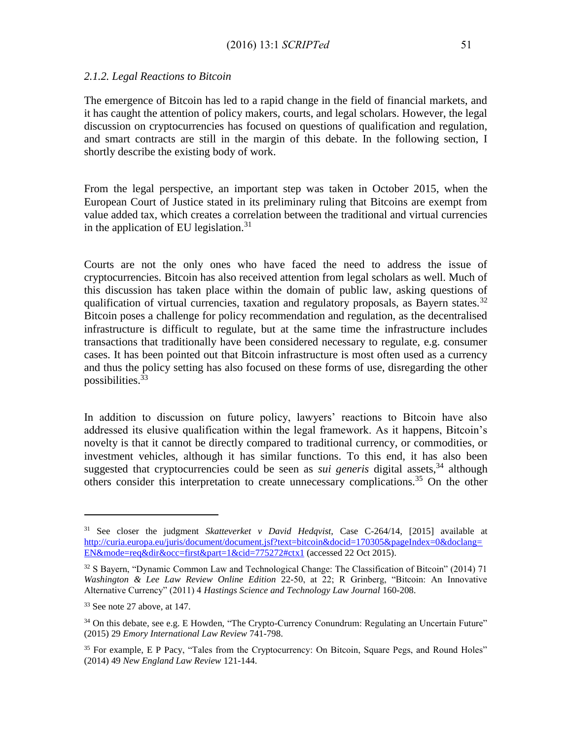The emergence of Bitcoin has led to a rapid change in the field of financial markets, and it has caught the attention of policy makers, courts, and legal scholars. However, the legal discussion on cryptocurrencies has focused on questions of qualification and regulation, and smart contracts are still in the margin of this debate. In the following section, I shortly describe the existing body of work.

From the legal perspective, an important step was taken in October 2015, when the European Court of Justice stated in its preliminary ruling that Bitcoins are exempt from value added tax, which creates a correlation between the traditional and virtual currencies in the application of EU legislation.<sup>31</sup>

Courts are not the only ones who have faced the need to address the issue of cryptocurrencies. Bitcoin has also received attention from legal scholars as well. Much of this discussion has taken place within the domain of public law, asking questions of qualification of virtual currencies, taxation and regulatory proposals, as Bayern states.<sup>32</sup> Bitcoin poses a challenge for policy recommendation and regulation, as the decentralised infrastructure is difficult to regulate, but at the same time the infrastructure includes transactions that traditionally have been considered necessary to regulate, e.g. consumer cases. It has been pointed out that Bitcoin infrastructure is most often used as a currency and thus the policy setting has also focused on these forms of use, disregarding the other possibilities.<sup>33</sup>

In addition to discussion on future policy, lawyers' reactions to Bitcoin have also addressed its elusive qualification within the legal framework. As it happens, Bitcoin's novelty is that it cannot be directly compared to traditional currency, or commodities, or investment vehicles, although it has similar functions. To this end, it has also been suggested that cryptocurrencies could be seen as *sui generis* digital assets,<sup>34</sup> although others consider this interpretation to create unnecessary complications.<sup>35</sup> On the other

<sup>31</sup> See closer the judgment *Skatteverket v David Hedqvist*, Case C-264/14, [2015] available at [http://curia.europa.eu/juris/document/document.jsf?text=bitcoin&docid=170305&pageIndex=0&doclang=](http://curia.europa.eu/juris/document/document.jsf?text=bitcoin&docid=170305&pageIndex=0&doclang=EN&mode=req&dir&occ=first&part=1&cid=775272%23ctx1) [EN&mode=req&dir&occ=first&part=1&cid=775272#ctx1](http://curia.europa.eu/juris/document/document.jsf?text=bitcoin&docid=170305&pageIndex=0&doclang=EN&mode=req&dir&occ=first&part=1&cid=775272%23ctx1) (accessed 22 Oct 2015).

<sup>32</sup> S Bayern, "Dynamic Common Law and Technological Change: The Classification of Bitcoin" (2014) 71 *Washington & Lee Law Review Online Edition* 22-50, at 22; R Grinberg, "Bitcoin: An Innovative Alternative Currency" (2011) 4 *Hastings Science and Technology Law Journal* 160-208.

<sup>33</sup> See note 27 above, at 147.

<sup>&</sup>lt;sup>34</sup> On this debate, see e.g. E Howden, "The Crypto-Currency Conundrum: Regulating an Uncertain Future" (2015) 29 *Emory International Law Review* 741-798.

<sup>&</sup>lt;sup>35</sup> For example, E P Pacy, "Tales from the Cryptocurrency: On Bitcoin, Square Pegs, and Round Holes" (2014) 49 *New England Law Review* 121-144.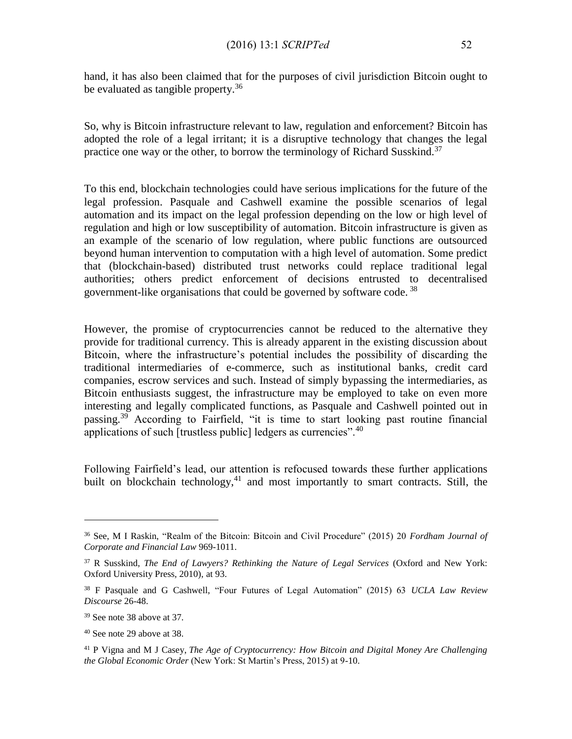hand, it has also been claimed that for the purposes of civil jurisdiction Bitcoin ought to be evaluated as tangible property.<sup>36</sup>

So, why is Bitcoin infrastructure relevant to law, regulation and enforcement? Bitcoin has adopted the role of a legal irritant; it is a disruptive technology that changes the legal practice one way or the other, to borrow the terminology of Richard Susskind.<sup>37</sup>

To this end, blockchain technologies could have serious implications for the future of the legal profession. Pasquale and Cashwell examine the possible scenarios of legal automation and its impact on the legal profession depending on the low or high level of regulation and high or low susceptibility of automation. Bitcoin infrastructure is given as an example of the scenario of low regulation, where public functions are outsourced beyond human intervention to computation with a high level of automation. Some predict that (blockchain-based) distributed trust networks could replace traditional legal authorities; others predict enforcement of decisions entrusted to decentralised government-like organisations that could be governed by software code.<sup>38</sup>

However, the promise of cryptocurrencies cannot be reduced to the alternative they provide for traditional currency. This is already apparent in the existing discussion about Bitcoin, where the infrastructure's potential includes the possibility of discarding the traditional intermediaries of e-commerce, such as institutional banks, credit card companies, escrow services and such. Instead of simply bypassing the intermediaries, as Bitcoin enthusiasts suggest, the infrastructure may be employed to take on even more interesting and legally complicated functions, as Pasquale and Cashwell pointed out in passing.<sup>39</sup> According to Fairfield, "it is time to start looking past routine financial applications of such [trustless public] ledgers as currencies".<sup>40</sup>

Following Fairfield's lead, our attention is refocused towards these further applications built on blockchain technology,<sup>41</sup> and most importantly to smart contracts. Still, the

<sup>36</sup> See, M I Raskin, "Realm of the Bitcoin: Bitcoin and Civil Procedure" (2015) 20 *Fordham Journal of Corporate and Financial Law* 969-1011.

<sup>37</sup> R Susskind, *The End of Lawyers? Rethinking the Nature of Legal Services* (Oxford and New York: Oxford University Press, 2010), at 93.

<sup>38</sup> F Pasquale and G Cashwell, "Four Futures of Legal Automation" (2015) 63 *UCLA Law Review Discourse* 26-48.

<sup>&</sup>lt;sup>39</sup> See note 38 above at 37.

<sup>40</sup> See note 29 above at 38.

<sup>41</sup> P Vigna and M J Casey, *The Age of Cryptocurrency: How Bitcoin and Digital Money Are Challenging the Global Economic Order* (New York: St Martin's Press, 2015) at 9-10.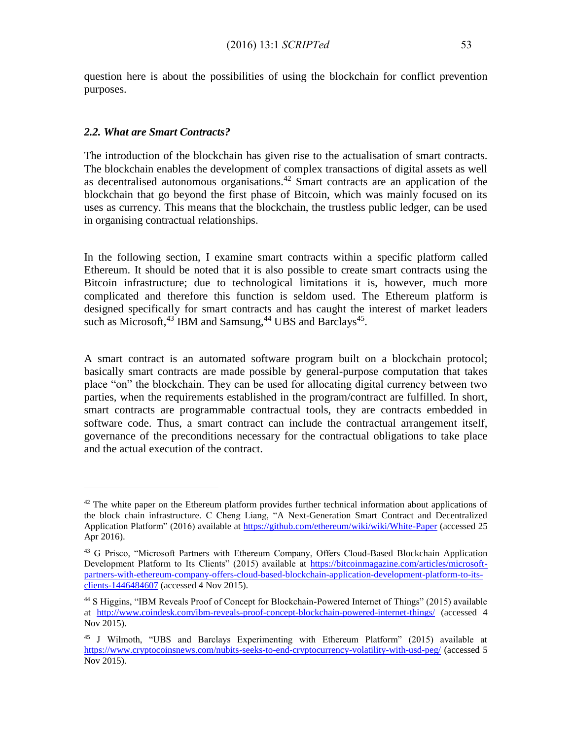question here is about the possibilities of using the blockchain for conflict prevention purposes.

#### *2.2. What are Smart Contracts?*

 $\overline{a}$ 

The introduction of the blockchain has given rise to the actualisation of smart contracts. The blockchain enables the development of complex transactions of digital assets as well as decentralised autonomous organisations.<sup>42</sup> Smart contracts are an application of the blockchain that go beyond the first phase of Bitcoin, which was mainly focused on its uses as currency. This means that the blockchain, the trustless public ledger, can be used in organising contractual relationships.

In the following section, I examine smart contracts within a specific platform called Ethereum. It should be noted that it is also possible to create smart contracts using the Bitcoin infrastructure; due to technological limitations it is, however, much more complicated and therefore this function is seldom used. The Ethereum platform is designed specifically for smart contracts and has caught the interest of market leaders such as Microsoft,  $43$  IBM and Samsung,  $44$  UBS and Barclays<sup>45</sup>.

A smart contract is an automated software program built on a blockchain protocol; basically smart contracts are made possible by general-purpose computation that takes place "on" the blockchain. They can be used for allocating digital currency between two parties, when the requirements established in the program/contract are fulfilled. In short, smart contracts are programmable contractual tools, they are contracts embedded in software code. Thus, a smart contract can include the contractual arrangement itself, governance of the preconditions necessary for the contractual obligations to take place and the actual execution of the contract.

 $42$  The white paper on the Ethereum platform provides further technical information about applications of the block chain infrastructure. C Cheng Liang, "A Next-Generation Smart Contract and Decentralized Application Platform" (2016) available at<https://github.com/ethereum/wiki/wiki/White-Paper> (accessed 25 Apr 2016).

<sup>&</sup>lt;sup>43</sup> G Prisco, "Microsoft Partners with Ethereum Company, Offers Cloud-Based Blockchain Application Development Platform to Its Clients" (2015) available at [https://bitcoinmagazine.com/articles/microsoft](https://bitcoinmagazine.com/articles/microsoft-partners-with-ethereum-company-offers-cloud-based-blockchain-application-development-platform-to-its-clients-1446484607)[partners-with-ethereum-company-offers-cloud-based-blockchain-application-development-platform-to-its](https://bitcoinmagazine.com/articles/microsoft-partners-with-ethereum-company-offers-cloud-based-blockchain-application-development-platform-to-its-clients-1446484607)[clients-1446484607](https://bitcoinmagazine.com/articles/microsoft-partners-with-ethereum-company-offers-cloud-based-blockchain-application-development-platform-to-its-clients-1446484607) (accessed 4 Nov 2015).

<sup>44</sup> S Higgins, "IBM Reveals Proof of Concept for Blockchain-Powered Internet of Things" (2015) available at <http://www.coindesk.com/ibm-reveals-proof-concept-blockchain-powered-internet-things/> (accessed 4 Nov 2015).

<sup>45</sup> J Wilmoth, "UBS and Barclays Experimenting with Ethereum Platform" (2015) available at <https://www.cryptocoinsnews.com/nubits-seeks-to-end-cryptocurrency-volatility-with-usd-peg/> (accessed 5 Nov 2015).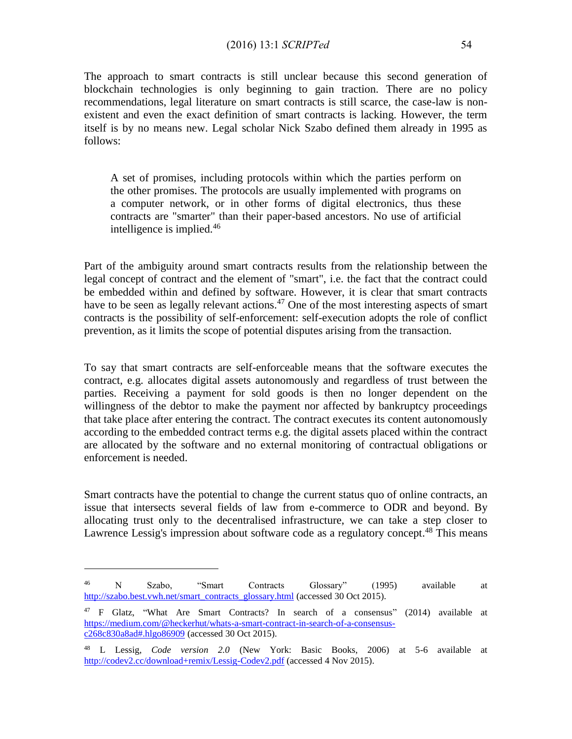#### (2016) 13:1 *SCRIPTed* 54

The approach to smart contracts is still unclear because this second generation of blockchain technologies is only beginning to gain traction. There are no policy recommendations, legal literature on smart contracts is still scarce, the case-law is nonexistent and even the exact definition of smart contracts is lacking. However, the term itself is by no means new. Legal scholar Nick Szabo defined them already in 1995 as follows:

A set of promises, including protocols within which the parties perform on the other promises. The protocols are usually implemented with programs on a computer network, or in other forms of digital electronics, thus these contracts are "smarter" than their paper-based ancestors. No use of artificial intelligence is implied. $46$ 

Part of the ambiguity around smart contracts results from the relationship between the legal concept of contract and the element of "smart", i.e. the fact that the contract could be embedded within and defined by software. However, it is clear that smart contracts have to be seen as legally relevant actions.<sup>47</sup> One of the most interesting aspects of smart contracts is the possibility of self-enforcement: self-execution adopts the role of conflict prevention, as it limits the scope of potential disputes arising from the transaction.

To say that smart contracts are self-enforceable means that the software executes the contract, e.g. allocates digital assets autonomously and regardless of trust between the parties. Receiving a payment for sold goods is then no longer dependent on the willingness of the debtor to make the payment nor affected by bankruptcy proceedings that take place after entering the contract. The contract executes its content autonomously according to the embedded contract terms e.g. the digital assets placed within the contract are allocated by the software and no external monitoring of contractual obligations or enforcement is needed.

Smart contracts have the potential to change the current status quo of online contracts, an issue that intersects several fields of law from e-commerce to ODR and beyond. By allocating trust only to the decentralised infrastructure, we can take a step closer to Lawrence Lessig's impression about software code as a regulatory concept.<sup>48</sup> This means

<sup>46</sup> N Szabo, "Smart Contracts Glossary" (1995) available at [http://szabo.best.vwh.net/smart\\_contracts\\_glossary.html](http://szabo.best.vwh.net/smart_contracts_glossary.html) (accessed 30 Oct 2015).

<sup>47</sup> F Glatz, "What Are Smart Contracts? In search of a consensus" (2014) available at [https://medium.com/@heckerhut/whats-a-smart-contract-in-search-of-a-consensus](https://medium.com/@heckerhut/whats-a-smart-contract-in-search-of-a-consensus-c268c830a8ad#.hlgo86909)[c268c830a8ad#.hlgo86909](https://medium.com/@heckerhut/whats-a-smart-contract-in-search-of-a-consensus-c268c830a8ad#.hlgo86909) (accessed 30 Oct 2015).

<sup>48</sup> L Lessig, *Code version 2.0* (New York: Basic Books, 2006) at 5-6 available at <http://codev2.cc/download+remix/Lessig-Codev2.pdf> (accessed 4 Nov 2015).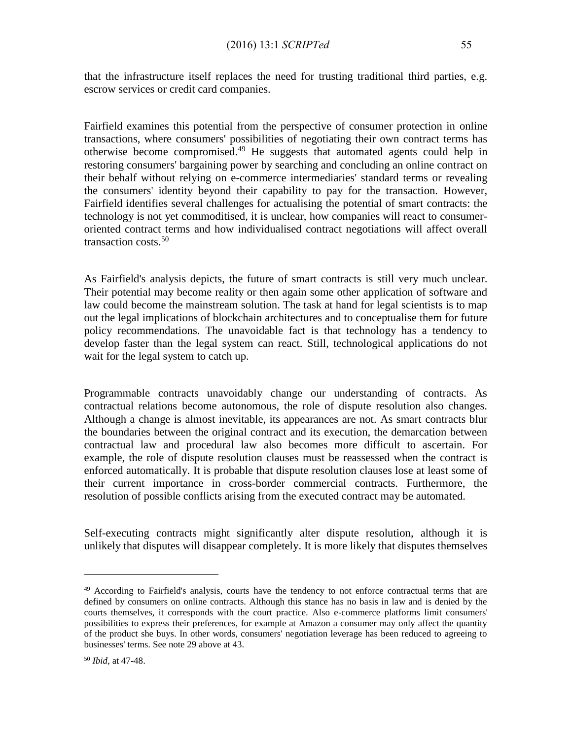that the infrastructure itself replaces the need for trusting traditional third parties, e.g. escrow services or credit card companies.

Fairfield examines this potential from the perspective of consumer protection in online transactions, where consumers' possibilities of negotiating their own contract terms has otherwise become compromised.<sup>49</sup> He suggests that automated agents could help in restoring consumers' bargaining power by searching and concluding an online contract on their behalf without relying on e-commerce intermediaries' standard terms or revealing the consumers' identity beyond their capability to pay for the transaction. However, Fairfield identifies several challenges for actualising the potential of smart contracts: the technology is not yet commoditised, it is unclear, how companies will react to consumeroriented contract terms and how individualised contract negotiations will affect overall transaction costs.<sup>50</sup>

As Fairfield's analysis depicts, the future of smart contracts is still very much unclear. Their potential may become reality or then again some other application of software and law could become the mainstream solution. The task at hand for legal scientists is to map out the legal implications of blockchain architectures and to conceptualise them for future policy recommendations. The unavoidable fact is that technology has a tendency to develop faster than the legal system can react. Still, technological applications do not wait for the legal system to catch up.

Programmable contracts unavoidably change our understanding of contracts. As contractual relations become autonomous, the role of dispute resolution also changes. Although a change is almost inevitable, its appearances are not. As smart contracts blur the boundaries between the original contract and its execution, the demarcation between contractual law and procedural law also becomes more difficult to ascertain. For example, the role of dispute resolution clauses must be reassessed when the contract is enforced automatically. It is probable that dispute resolution clauses lose at least some of their current importance in cross-border commercial contracts. Furthermore, the resolution of possible conflicts arising from the executed contract may be automated.

Self-executing contracts might significantly alter dispute resolution, although it is unlikely that disputes will disappear completely. It is more likely that disputes themselves

<sup>&</sup>lt;sup>49</sup> According to Fairfield's analysis, courts have the tendency to not enforce contractual terms that are defined by consumers on online contracts. Although this stance has no basis in law and is denied by the courts themselves, it corresponds with the court practice. Also e-commerce platforms limit consumers' possibilities to express their preferences, for example at Amazon a consumer may only affect the quantity of the product she buys. In other words, consumers' negotiation leverage has been reduced to agreeing to businesses' terms. See note 29 above at 43.

<sup>50</sup> *Ibid,* at 47-48.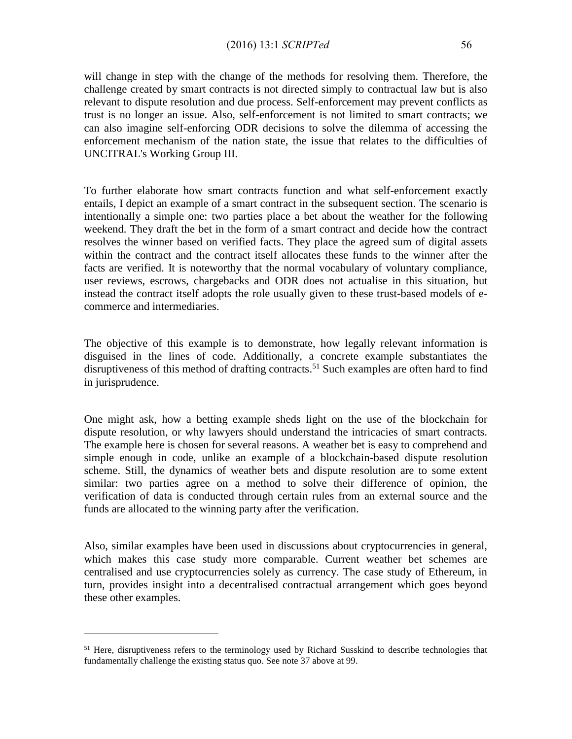will change in step with the change of the methods for resolving them. Therefore, the challenge created by smart contracts is not directed simply to contractual law but is also relevant to dispute resolution and due process. Self-enforcement may prevent conflicts as trust is no longer an issue. Also, self-enforcement is not limited to smart contracts; we can also imagine self-enforcing ODR decisions to solve the dilemma of accessing the enforcement mechanism of the nation state, the issue that relates to the difficulties of UNCITRAL's Working Group III.

To further elaborate how smart contracts function and what self-enforcement exactly entails, I depict an example of a smart contract in the subsequent section. The scenario is intentionally a simple one: two parties place a bet about the weather for the following weekend. They draft the bet in the form of a smart contract and decide how the contract resolves the winner based on verified facts. They place the agreed sum of digital assets within the contract and the contract itself allocates these funds to the winner after the facts are verified. It is noteworthy that the normal vocabulary of voluntary compliance, user reviews, escrows, chargebacks and ODR does not actualise in this situation, but instead the contract itself adopts the role usually given to these trust-based models of ecommerce and intermediaries.

The objective of this example is to demonstrate, how legally relevant information is disguised in the lines of code. Additionally, a concrete example substantiates the disruptiveness of this method of drafting contracts.<sup>51</sup> Such examples are often hard to find in jurisprudence.

One might ask, how a betting example sheds light on the use of the blockchain for dispute resolution, or why lawyers should understand the intricacies of smart contracts. The example here is chosen for several reasons. A weather bet is easy to comprehend and simple enough in code, unlike an example of a blockchain-based dispute resolution scheme. Still, the dynamics of weather bets and dispute resolution are to some extent similar: two parties agree on a method to solve their difference of opinion, the verification of data is conducted through certain rules from an external source and the funds are allocated to the winning party after the verification.

Also, similar examples have been used in discussions about cryptocurrencies in general, which makes this case study more comparable. Current weather bet schemes are centralised and use cryptocurrencies solely as currency. The case study of Ethereum, in turn, provides insight into a decentralised contractual arrangement which goes beyond these other examples.

<sup>&</sup>lt;sup>51</sup> Here, disruptiveness refers to the terminology used by Richard Susskind to describe technologies that fundamentally challenge the existing status quo. See note 37 above at 99.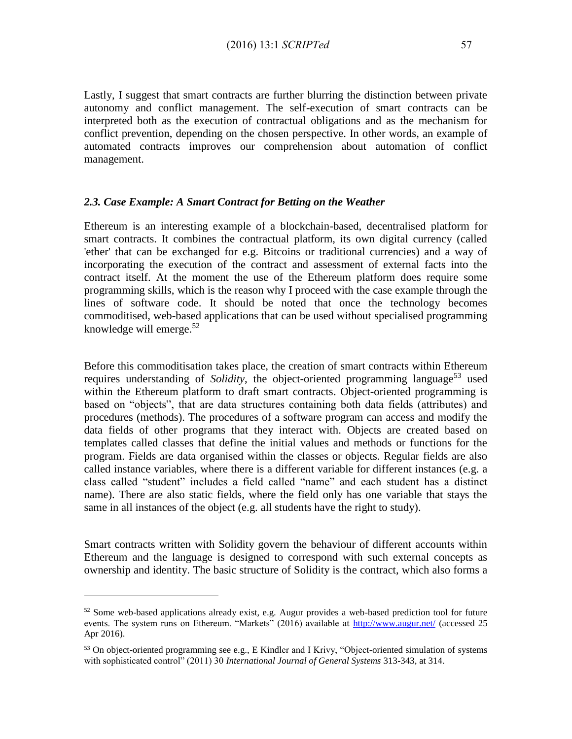Lastly, I suggest that smart contracts are further blurring the distinction between private autonomy and conflict management. The self-execution of smart contracts can be interpreted both as the execution of contractual obligations and as the mechanism for conflict prevention, depending on the chosen perspective. In other words, an example of automated contracts improves our comprehension about automation of conflict management.

#### *2.3. Case Example: A Smart Contract for Betting on the Weather*

Ethereum is an interesting example of a blockchain-based, decentralised platform for smart contracts. It combines the contractual platform, its own digital currency (called 'ether' that can be exchanged for e.g. Bitcoins or traditional currencies) and a way of incorporating the execution of the contract and assessment of external facts into the contract itself. At the moment the use of the Ethereum platform does require some programming skills, which is the reason why I proceed with the case example through the lines of software code. It should be noted that once the technology becomes commoditised, web-based applications that can be used without specialised programming knowledge will emerge. $52$ 

Before this commoditisation takes place, the creation of smart contracts within Ethereum requires understanding of *Solidity*, the object-oriented programming language<sup>53</sup> used within the Ethereum platform to draft smart contracts. Object-oriented programming is based on "objects", that are data structures containing both data fields (attributes) and procedures (methods). The procedures of a software program can access and modify the data fields of other programs that they interact with. Objects are created based on templates called classes that define the initial values and methods or functions for the program. Fields are data organised within the classes or objects. Regular fields are also called instance variables, where there is a different variable for different instances (e.g. a class called "student" includes a field called "name" and each student has a distinct name). There are also static fields, where the field only has one variable that stays the same in all instances of the object (e.g. all students have the right to study).

Smart contracts written with Solidity govern the behaviour of different accounts within Ethereum and the language is designed to correspond with such external concepts as ownership and identity. The basic structure of Solidity is the contract, which also forms a

 $52$  Some web-based applications already exist, e.g. Augur provides a web-based prediction tool for future events. The system runs on Ethereum. "Markets" (2016) available at<http://www.augur.net/> (accessed 25 Apr 2016).

 $53$  On object-oriented programming see e.g., E Kindler and I Krivy, "Object-oriented simulation of systems with sophisticated control" (2011) 30 *International Journal of General Systems* 313-343, at 314.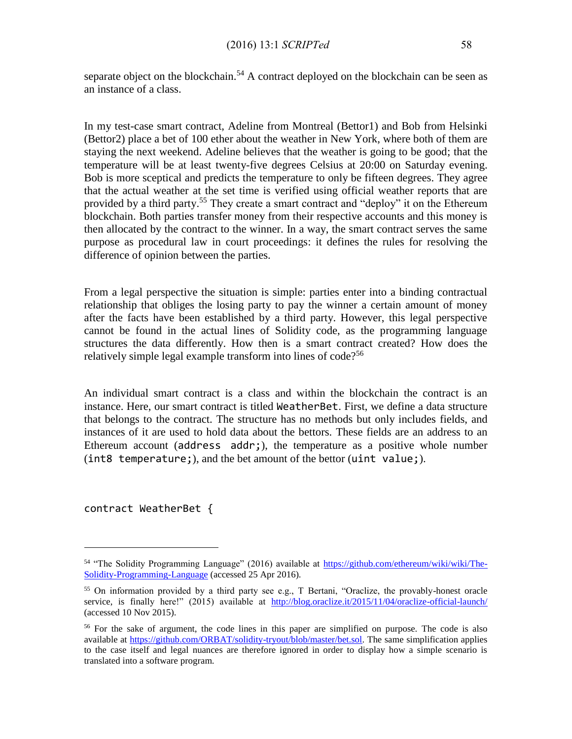separate object on the blockchain.<sup>54</sup> A contract deployed on the blockchain can be seen as an instance of a class.

In my test-case smart contract, Adeline from Montreal (Bettor1) and Bob from Helsinki (Bettor2) place a bet of 100 ether about the weather in New York, where both of them are staying the next weekend. Adeline believes that the weather is going to be good; that the temperature will be at least twenty-five degrees Celsius at 20:00 on Saturday evening. Bob is more sceptical and predicts the temperature to only be fifteen degrees. They agree that the actual weather at the set time is verified using official weather reports that are provided by a third party.<sup>55</sup> They create a smart contract and "deploy" it on the Ethereum blockchain. Both parties transfer money from their respective accounts and this money is then allocated by the contract to the winner. In a way, the smart contract serves the same purpose as procedural law in court proceedings: it defines the rules for resolving the difference of opinion between the parties.

From a legal perspective the situation is simple: parties enter into a binding contractual relationship that obliges the losing party to pay the winner a certain amount of money after the facts have been established by a third party. However, this legal perspective cannot be found in the actual lines of Solidity code, as the programming language structures the data differently. How then is a smart contract created? How does the relatively simple legal example transform into lines of code?<sup>56</sup>

An individual smart contract is a class and within the blockchain the contract is an instance. Here, our smart contract is titled WeatherBet. First, we define a data structure that belongs to the contract. The structure has no methods but only includes fields, and instances of it are used to hold data about the bettors. These fields are an address to an Ethereum account (address addr;), the temperature as a positive whole number (int8 temperature;), and the bet amount of the bettor (uint value;).

contract WeatherBet {

<sup>54</sup> "The Solidity Programming Language" (2016) available at [https://github.com/ethereum/wiki/wiki/The-](https://github.com/ethereum/wiki/wiki/The-Solidity-Programming-Language)[Solidity-Programming-Language](https://github.com/ethereum/wiki/wiki/The-Solidity-Programming-Language) (accessed 25 Apr 2016).

<sup>55</sup> On information provided by a third party see e.g., T Bertani, "Oraclize, the provably-honest oracle service, is finally here!" (2015) available at <http://blog.oraclize.it/2015/11/04/oraclize-official-launch/> (accessed 10 Nov 2015).

<sup>&</sup>lt;sup>56</sup> For the sake of argument, the code lines in this paper are simplified on purpose. The code is also available at [https://github.com/ORBAT/solidity-tryout/blob/master/bet.sol.](https://github.com/ORBAT/solidity-tryout/blob/master/bet.sol) The same simplification applies to the case itself and legal nuances are therefore ignored in order to display how a simple scenario is translated into a software program.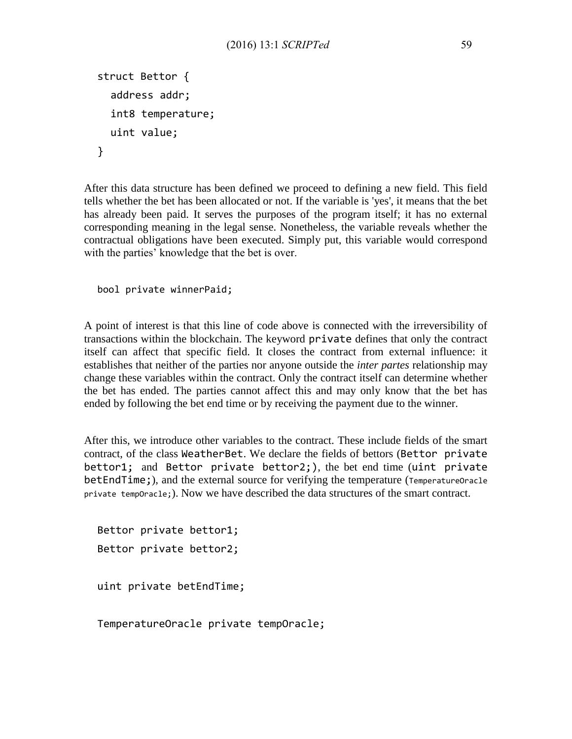```
struct Bettor {
  address addr;
  int8 temperature;
  uint value;
}
```
After this data structure has been defined we proceed to defining a new field. This field tells whether the bet has been allocated or not. If the variable is 'yes', it means that the bet has already been paid. It serves the purposes of the program itself; it has no external corresponding meaning in the legal sense. Nonetheless, the variable reveals whether the contractual obligations have been executed. Simply put, this variable would correspond with the parties' knowledge that the bet is over.

```
bool private winnerPaid;
```
A point of interest is that this line of code above is connected with the irreversibility of transactions within the blockchain. The keyword private defines that only the contract itself can affect that specific field. It closes the contract from external influence: it establishes that neither of the parties nor anyone outside the *inter partes* relationship may change these variables within the contract. Only the contract itself can determine whether the bet has ended. The parties cannot affect this and may only know that the bet has ended by following the bet end time or by receiving the payment due to the winner.

After this, we introduce other variables to the contract. These include fields of the smart contract, of the class WeatherBet. We declare the fields of bettors (Bettor private bettor1; and Bettor private bettor2;), the bet end time (uint private betEndTime;), and the external source for verifying the temperature (TemperatureOracle private tempOracle;). Now we have described the data structures of the smart contract.

```
Bettor private bettor1;
Bettor private bettor2;
uint private betEndTime;
```
TemperatureOracle private tempOracle;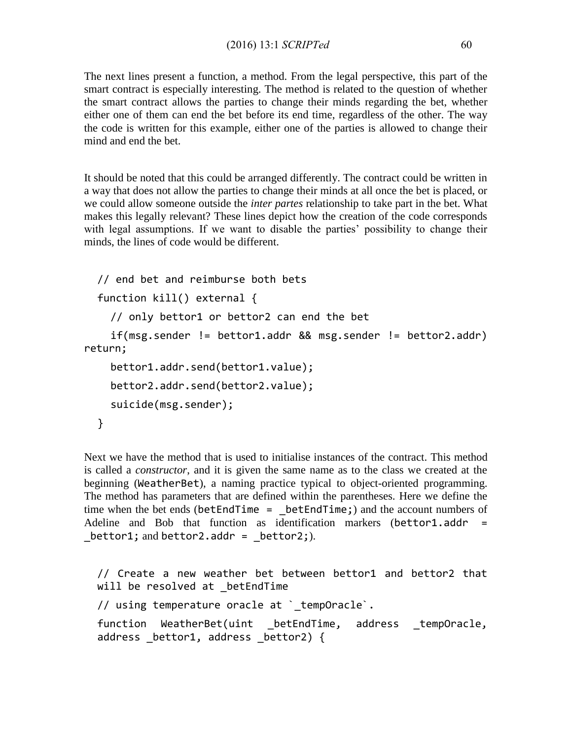The next lines present a function, a method. From the legal perspective, this part of the smart contract is especially interesting. The method is related to the question of whether the smart contract allows the parties to change their minds regarding the bet, whether either one of them can end the bet before its end time, regardless of the other. The way the code is written for this example, either one of the parties is allowed to change their mind and end the bet.

It should be noted that this could be arranged differently. The contract could be written in a way that does not allow the parties to change their minds at all once the bet is placed, or we could allow someone outside the *inter partes* relationship to take part in the bet. What makes this legally relevant? These lines depict how the creation of the code corresponds with legal assumptions. If we want to disable the parties' possibility to change their minds, the lines of code would be different.

```
// end bet and reimburse both bets
  function kill() external {
    // only bettor1 or bettor2 can end the bet
    if(msg.sender != bettor1.addr && msg.sender != bettor2.addr) 
return;
    bettor1.addr.send(bettor1.value);
    bettor2.addr.send(bettor2.value);
    suicide(msg.sender);
  }
```
Next we have the method that is used to initialise instances of the contract. This method is called a *constructor*, and it is given the same name as to the class we created at the beginning (WeatherBet), a naming practice typical to object-oriented programming. The method has parameters that are defined within the parentheses. Here we define the time when the bet ends ( $b$ etEndTime =  $b$ etEndTime;) and the account numbers of Adeline and Bob that function as identification markers (bettor1.addr = bettor1; and bettor2.addr =  $beta$ :).

// Create a new weather bet between bettor1 and bettor2 that will be resolved at betEndTime // using temperature oracle at `tempOracle`. function WeatherBet(uint \_betEndTime, address \_tempOracle, address bettor1, address bettor2) {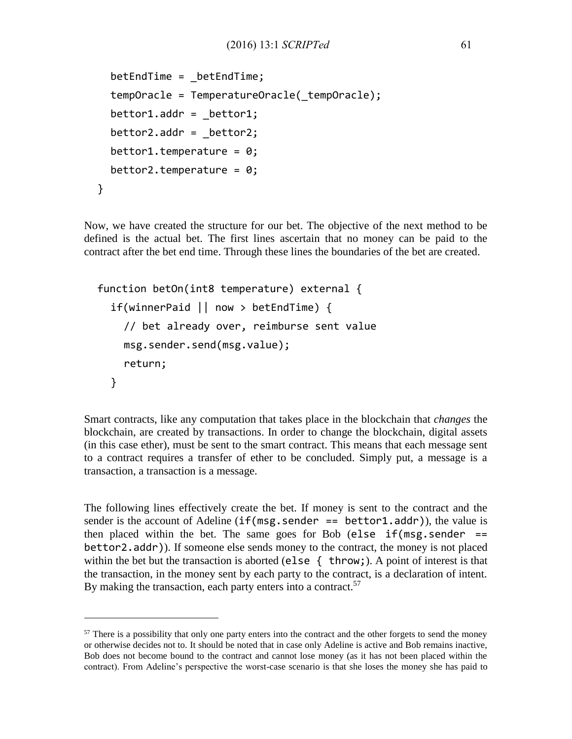```
betEndTime = _betEndTime;
  tempOracle = TemperatureOracle(_tempOracle);
  beta.addr = beta;
  beta.addr = beta;
  bettor1.temperature = 0;beta.temperature = 0;
}
```
Now, we have created the structure for our bet. The objective of the next method to be defined is the actual bet. The first lines ascertain that no money can be paid to the contract after the bet end time. Through these lines the boundaries of the bet are created.

```
function betOn(int8 temperature) external {
  if(winnerPaid || now > betEndTime) {
    // bet already over, reimburse sent value
    msg.sender.send(msg.value);
    return;
  }
```
Smart contracts, like any computation that takes place in the blockchain that *changes* the blockchain, are created by transactions. In order to change the blockchain, digital assets (in this case ether), must be sent to the smart contract. This means that each message sent to a contract requires a transfer of ether to be concluded. Simply put, a message is a transaction, a transaction is a message.

The following lines effectively create the bet. If money is sent to the contract and the sender is the account of Adeline  $(if(msg.sender == bettor1.addr))$ , the value is then placed within the bet. The same goes for Bob (else  $if(msg.sender ==$ bettor2.addr)). If someone else sends money to the contract, the money is not placed within the bet but the transaction is aborted (else { throw;). A point of interest is that the transaction, in the money sent by each party to the contract, is a declaration of intent. By making the transaction, each party enters into a contract.<sup>57</sup>

<sup>&</sup>lt;sup>57</sup> There is a possibility that only one party enters into the contract and the other forgets to send the money or otherwise decides not to. It should be noted that in case only Adeline is active and Bob remains inactive, Bob does not become bound to the contract and cannot lose money (as it has not been placed within the contract). From Adeline's perspective the worst-case scenario is that she loses the money she has paid to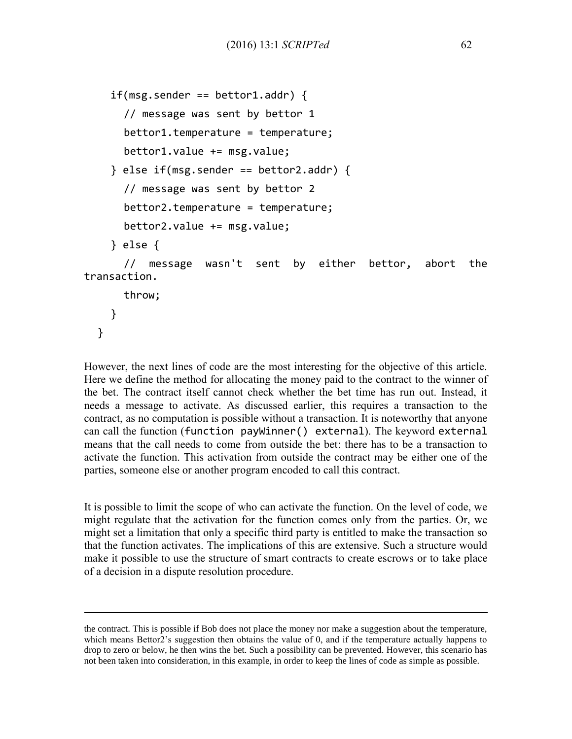```
if(msg.sender == bettor1.addr) {
      // message was sent by bettor 1
      bettor1.temperature = temperature;
      bettor1.value += msg.value;
    } else if(msg.sender == bettor2.addr) {
      // message was sent by bettor 2
      bettor2.temperature = temperature;
      bettor2.value += msg.value;
    } else {
      // message wasn't sent by either bettor, abort the 
transaction.
      throw;
    }
```
}

 $\overline{a}$ 

However, the next lines of code are the most interesting for the objective of this article. Here we define the method for allocating the money paid to the contract to the winner of the bet. The contract itself cannot check whether the bet time has run out. Instead, it needs a message to activate. As discussed earlier, this requires a transaction to the contract, as no computation is possible without a transaction. It is noteworthy that anyone can call the function (function payWinner() external). The keyword external means that the call needs to come from outside the bet: there has to be a transaction to activate the function. This activation from outside the contract may be either one of the parties, someone else or another program encoded to call this contract.

It is possible to limit the scope of who can activate the function. On the level of code, we might regulate that the activation for the function comes only from the parties. Or, we might set a limitation that only a specific third party is entitled to make the transaction so that the function activates. The implications of this are extensive. Such a structure would make it possible to use the structure of smart contracts to create escrows or to take place of a decision in a dispute resolution procedure.

the contract. This is possible if Bob does not place the money nor make a suggestion about the temperature, which means Bettor2's suggestion then obtains the value of 0, and if the temperature actually happens to drop to zero or below, he then wins the bet. Such a possibility can be prevented. However, this scenario has not been taken into consideration, in this example, in order to keep the lines of code as simple as possible.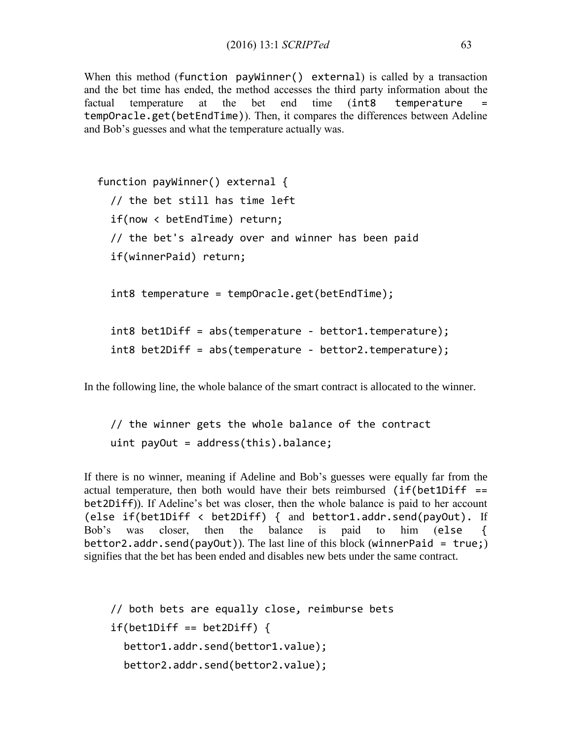When this method (function payWinner() external) is called by a transaction and the bet time has ended, the method accesses the third party information about the factual temperature at the bet end time (int8 temperature tempOracle.get(betEndTime)). Then, it compares the differences between Adeline and Bob's guesses and what the temperature actually was.

```
function payWinner() external {
  // the bet still has time left
  if(now < betEndTime) return;
  // the bet's already over and winner has been paid
  if(winnerPaid) return;
  int8 temperature = tempOracle.get(betEndTime);
  int8 bet1Diff = abs(temperature - bettor1.temperature);
  int8 bet2Diff = abs(temperature - bettor2.temperature);
```
In the following line, the whole balance of the smart contract is allocated to the winner.

```
// the winner gets the whole balance of the contract
uint payOut = address(this).balance;
```
If there is no winner, meaning if Adeline and Bob's guesses were equally far from the actual temperature, then both would have their bets reimbursed  $(if(bet1Diff ==$ bet2Diff)). If Adeline's bet was closer, then the whole balance is paid to her account (else if(bet1Diff < bet2Diff) { and bettor1.addr.send(payOut). If Bob's was closer, then the balance is paid to him (else { bettor2.addr.send(payOut)). The last line of this block (winnerPaid = true;) signifies that the bet has been ended and disables new bets under the same contract.

```
// both bets are equally close, reimburse bets
if(bet1Diff == bet2Diff)bettor1.addr.send(bettor1.value);
  bettor2.addr.send(bettor2.value);
```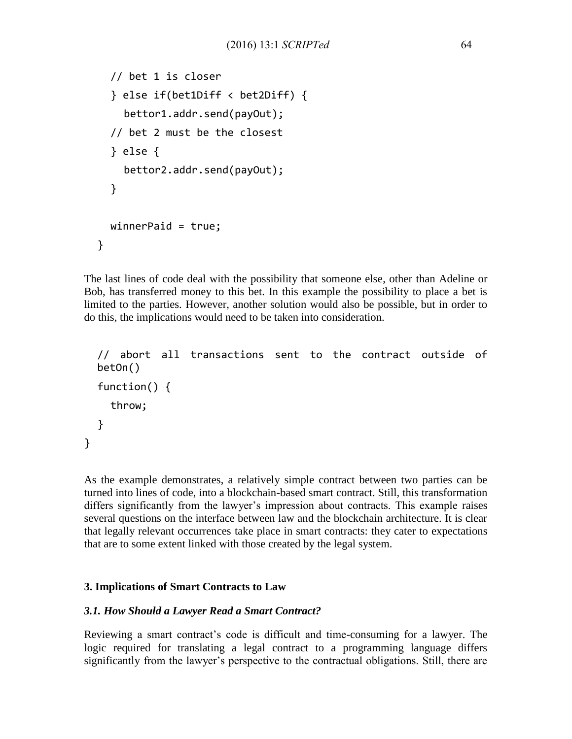```
// bet 1 is closer
  } else if(bet1Diff < bet2Diff) {
    bettor1.addr.send(payOut);
  // bet 2 must be the closest
  } else {
    bettor2.addr.send(payOut);
  }
  winnerPaid = true;
}
```
The last lines of code deal with the possibility that someone else, other than Adeline or Bob, has transferred money to this bet. In this example the possibility to place a bet is limited to the parties. However, another solution would also be possible, but in order to do this, the implications would need to be taken into consideration.

```
// abort all transactions sent to the contract outside of 
betOn()
function() {
  throw;
}
```
As the example demonstrates, a relatively simple contract between two parties can be turned into lines of code, into a blockchain-based smart contract. Still, this transformation differs significantly from the lawyer's impression about contracts. This example raises several questions on the interface between law and the blockchain architecture. It is clear that legally relevant occurrences take place in smart contracts: they cater to expectations that are to some extent linked with those created by the legal system.

# **3. Implications of Smart Contracts to Law**

}

## *3.1. How Should a Lawyer Read a Smart Contract?*

Reviewing a smart contract's code is difficult and time-consuming for a lawyer. The logic required for translating a legal contract to a programming language differs significantly from the lawyer's perspective to the contractual obligations. Still, there are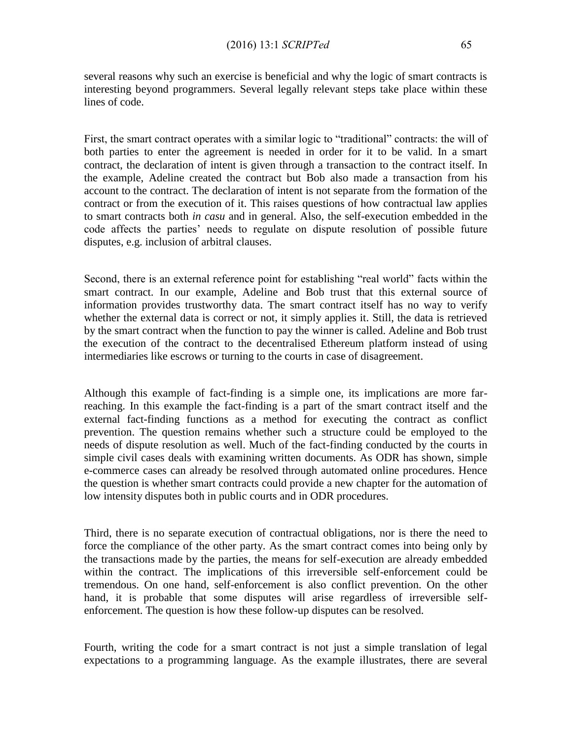several reasons why such an exercise is beneficial and why the logic of smart contracts is interesting beyond programmers. Several legally relevant steps take place within these lines of code.

First, the smart contract operates with a similar logic to "traditional" contracts: the will of both parties to enter the agreement is needed in order for it to be valid. In a smart contract, the declaration of intent is given through a transaction to the contract itself. In the example, Adeline created the contract but Bob also made a transaction from his account to the contract. The declaration of intent is not separate from the formation of the contract or from the execution of it. This raises questions of how contractual law applies to smart contracts both *in casu* and in general. Also, the self-execution embedded in the code affects the parties' needs to regulate on dispute resolution of possible future disputes, e.g. inclusion of arbitral clauses.

Second, there is an external reference point for establishing "real world" facts within the smart contract. In our example, Adeline and Bob trust that this external source of information provides trustworthy data. The smart contract itself has no way to verify whether the external data is correct or not, it simply applies it. Still, the data is retrieved by the smart contract when the function to pay the winner is called. Adeline and Bob trust the execution of the contract to the decentralised Ethereum platform instead of using intermediaries like escrows or turning to the courts in case of disagreement.

Although this example of fact-finding is a simple one, its implications are more farreaching. In this example the fact-finding is a part of the smart contract itself and the external fact-finding functions as a method for executing the contract as conflict prevention. The question remains whether such a structure could be employed to the needs of dispute resolution as well. Much of the fact-finding conducted by the courts in simple civil cases deals with examining written documents. As ODR has shown, simple e-commerce cases can already be resolved through automated online procedures. Hence the question is whether smart contracts could provide a new chapter for the automation of low intensity disputes both in public courts and in ODR procedures.

Third, there is no separate execution of contractual obligations, nor is there the need to force the compliance of the other party. As the smart contract comes into being only by the transactions made by the parties, the means for self-execution are already embedded within the contract. The implications of this irreversible self-enforcement could be tremendous. On one hand, self-enforcement is also conflict prevention. On the other hand, it is probable that some disputes will arise regardless of irreversible selfenforcement. The question is how these follow-up disputes can be resolved.

Fourth, writing the code for a smart contract is not just a simple translation of legal expectations to a programming language. As the example illustrates, there are several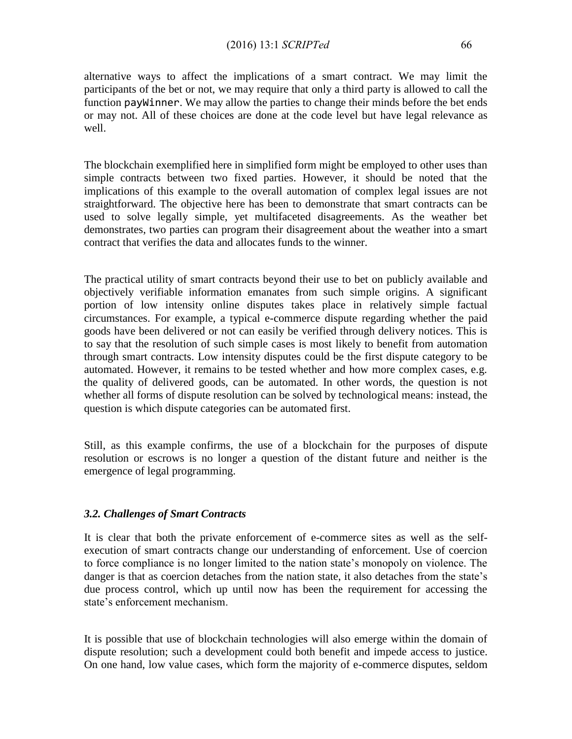alternative ways to affect the implications of a smart contract. We may limit the participants of the bet or not, we may require that only a third party is allowed to call the function payWinner. We may allow the parties to change their minds before the bet ends or may not. All of these choices are done at the code level but have legal relevance as well.

The blockchain exemplified here in simplified form might be employed to other uses than simple contracts between two fixed parties. However, it should be noted that the implications of this example to the overall automation of complex legal issues are not straightforward. The objective here has been to demonstrate that smart contracts can be used to solve legally simple, yet multifaceted disagreements. As the weather bet demonstrates, two parties can program their disagreement about the weather into a smart contract that verifies the data and allocates funds to the winner.

The practical utility of smart contracts beyond their use to bet on publicly available and objectively verifiable information emanates from such simple origins. A significant portion of low intensity online disputes takes place in relatively simple factual circumstances. For example, a typical e-commerce dispute regarding whether the paid goods have been delivered or not can easily be verified through delivery notices. This is to say that the resolution of such simple cases is most likely to benefit from automation through smart contracts. Low intensity disputes could be the first dispute category to be automated. However, it remains to be tested whether and how more complex cases, e.g. the quality of delivered goods, can be automated. In other words, the question is not whether all forms of dispute resolution can be solved by technological means: instead, the question is which dispute categories can be automated first.

Still, as this example confirms, the use of a blockchain for the purposes of dispute resolution or escrows is no longer a question of the distant future and neither is the emergence of legal programming.

## *3.2. Challenges of Smart Contracts*

It is clear that both the private enforcement of e-commerce sites as well as the selfexecution of smart contracts change our understanding of enforcement. Use of coercion to force compliance is no longer limited to the nation state's monopoly on violence. The danger is that as coercion detaches from the nation state, it also detaches from the state's due process control, which up until now has been the requirement for accessing the state's enforcement mechanism.

It is possible that use of blockchain technologies will also emerge within the domain of dispute resolution; such a development could both benefit and impede access to justice. On one hand, low value cases, which form the majority of e-commerce disputes, seldom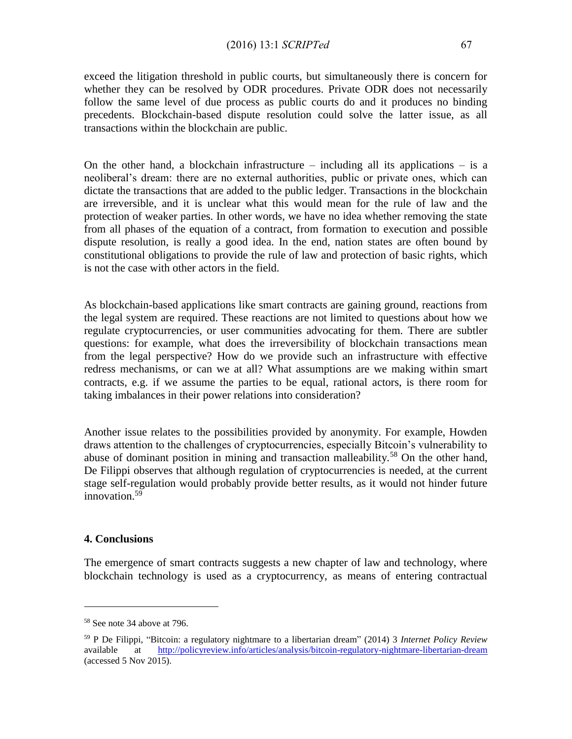exceed the litigation threshold in public courts, but simultaneously there is concern for whether they can be resolved by ODR procedures. Private ODR does not necessarily follow the same level of due process as public courts do and it produces no binding precedents. Blockchain-based dispute resolution could solve the latter issue, as all transactions within the blockchain are public.

On the other hand, a blockchain infrastructure  $-$  including all its applications  $-$  is a neoliberal's dream: there are no external authorities, public or private ones, which can dictate the transactions that are added to the public ledger. Transactions in the blockchain are irreversible, and it is unclear what this would mean for the rule of law and the protection of weaker parties. In other words, we have no idea whether removing the state from all phases of the equation of a contract, from formation to execution and possible dispute resolution, is really a good idea. In the end, nation states are often bound by constitutional obligations to provide the rule of law and protection of basic rights, which is not the case with other actors in the field.

As blockchain-based applications like smart contracts are gaining ground, reactions from the legal system are required. These reactions are not limited to questions about how we regulate cryptocurrencies, or user communities advocating for them. There are subtler questions: for example, what does the irreversibility of blockchain transactions mean from the legal perspective? How do we provide such an infrastructure with effective redress mechanisms, or can we at all? What assumptions are we making within smart contracts, e.g. if we assume the parties to be equal, rational actors, is there room for taking imbalances in their power relations into consideration?

Another issue relates to the possibilities provided by anonymity. For example, Howden draws attention to the challenges of cryptocurrencies, especially Bitcoin's vulnerability to abuse of dominant position in mining and transaction malleability.<sup>58</sup> On the other hand, De Filippi observes that although regulation of cryptocurrencies is needed, at the current stage self-regulation would probably provide better results, as it would not hinder future innovation. $59$ 

#### **4. Conclusions**

 $\overline{a}$ 

The emergence of smart contracts suggests a new chapter of law and technology, where blockchain technology is used as a cryptocurrency, as means of entering contractual

<sup>58</sup> See note 34 above at 796.

<sup>59</sup> P De Filippi, "Bitcoin: a regulatory nightmare to a libertarian dream" (2014) 3 *Internet Policy Review* available at <http://policyreview.info/articles/analysis/bitcoin-regulatory-nightmare-libertarian-dream> (accessed 5 Nov 2015).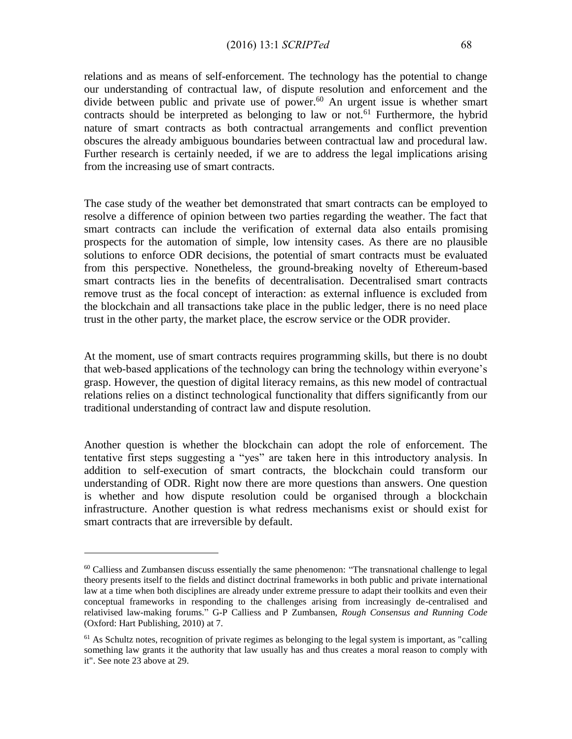relations and as means of self-enforcement. The technology has the potential to change our understanding of contractual law, of dispute resolution and enforcement and the divide between public and private use of power.<sup>60</sup> An urgent issue is whether smart contracts should be interpreted as belonging to law or not.<sup>61</sup> Furthermore, the hybrid nature of smart contracts as both contractual arrangements and conflict prevention obscures the already ambiguous boundaries between contractual law and procedural law. Further research is certainly needed, if we are to address the legal implications arising from the increasing use of smart contracts.

The case study of the weather bet demonstrated that smart contracts can be employed to resolve a difference of opinion between two parties regarding the weather. The fact that smart contracts can include the verification of external data also entails promising prospects for the automation of simple, low intensity cases. As there are no plausible solutions to enforce ODR decisions, the potential of smart contracts must be evaluated from this perspective. Nonetheless, the ground-breaking novelty of Ethereum-based smart contracts lies in the benefits of decentralisation. Decentralised smart contracts remove trust as the focal concept of interaction: as external influence is excluded from the blockchain and all transactions take place in the public ledger, there is no need place trust in the other party, the market place, the escrow service or the ODR provider.

At the moment, use of smart contracts requires programming skills, but there is no doubt that web-based applications of the technology can bring the technology within everyone's grasp. However, the question of digital literacy remains, as this new model of contractual relations relies on a distinct technological functionality that differs significantly from our traditional understanding of contract law and dispute resolution.

Another question is whether the blockchain can adopt the role of enforcement. The tentative first steps suggesting a "yes" are taken here in this introductory analysis. In addition to self-execution of smart contracts, the blockchain could transform our understanding of ODR. Right now there are more questions than answers. One question is whether and how dispute resolution could be organised through a blockchain infrastructure. Another question is what redress mechanisms exist or should exist for smart contracts that are irreversible by default.

<sup>&</sup>lt;sup>60</sup> Calliess and Zumbansen discuss essentially the same phenomenon: "The transnational challenge to legal theory presents itself to the fields and distinct doctrinal frameworks in both public and private international law at a time when both disciplines are already under extreme pressure to adapt their toolkits and even their conceptual frameworks in responding to the challenges arising from increasingly de-centralised and relativised law-making forums." G-P Calliess and P Zumbansen, *Rough Consensus and Running Code*  (Oxford: Hart Publishing, 2010) at 7.

<sup>&</sup>lt;sup>61</sup> As Schultz notes, recognition of private regimes as belonging to the legal system is important, as "calling something law grants it the authority that law usually has and thus creates a moral reason to comply with it". See note 23 above at 29.